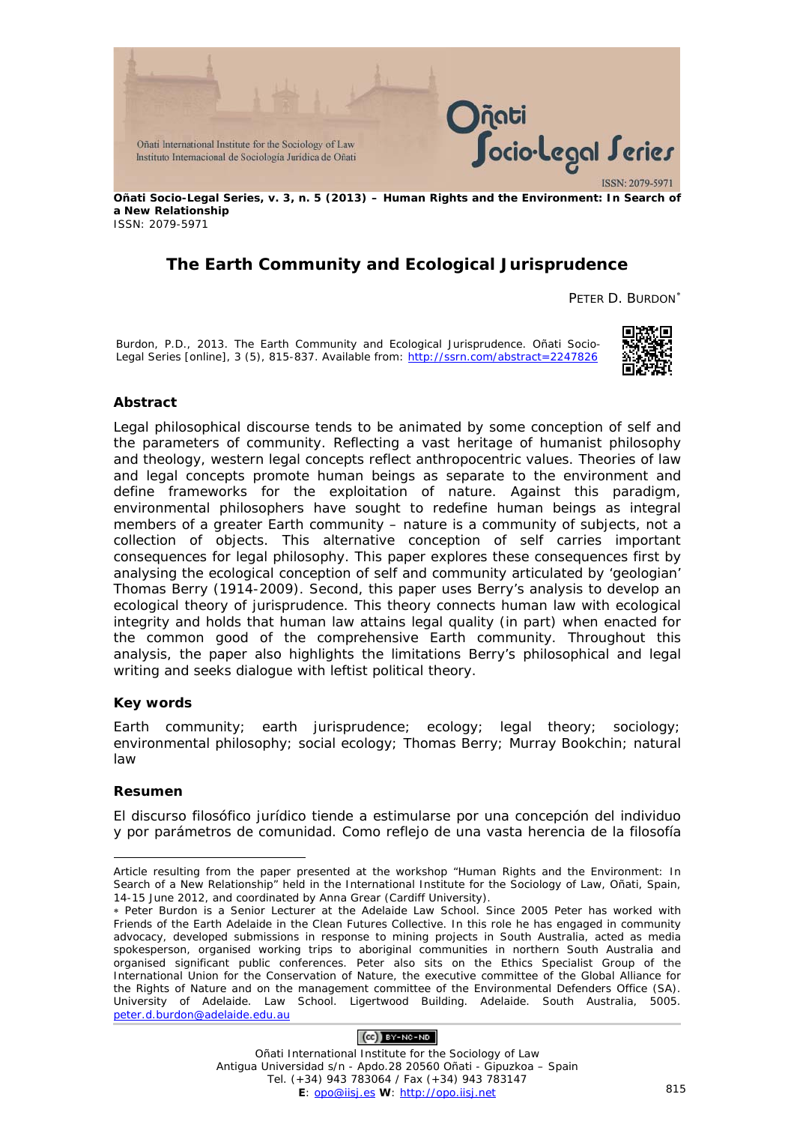

**Oñati Socio-Legal Series, v. 3, n. 5 (2013) – Human Rights and the Environment: In Search of a New Relationship**  ISSN: 2079-5971

# **The Earth Community and Ecological Jurisprudence**

PETER D. BURDON<sup>\*</sup>

Burdon, P.D., 2013. The Earth Community and Ecological Jurisprudence. *Oñati Socio-Legal Series* [online], 3 (5), 815-837. Available from: <http://ssrn.com/abstract=2247826>



#### **Abstract**

Legal philosophical discourse tends to be animated by some conception of self and the parameters of community. Reflecting a vast heritage of humanist philosophy and theology, western legal concepts reflect anthropocentric values. Theories of law and legal concepts promote human beings as separate to the environment and define frameworks for the exploitation of nature. Against this paradigm, environmental philosophers have sought to redefine human beings as integral members of a greater Earth community – nature is a community of subjects, not a collection of objects. This alternative conception of self carries important consequences for legal philosophy. This paper explores these consequences first by analysing the ecological conception of self and community articulated by 'geologian' Thomas Berry (1914-2009). Second, this paper uses Berry's analysis to develop an ecological theory of jurisprudence. This theory connects human law with ecological integrity and holds that human law attains legal quality (in part) when enacted for the common good of the comprehensive Earth community. Throughout this analysis, the paper also highlights the limitations Berry's philosophical and legal writing and seeks dialogue with leftist political theory.

#### **Key words**

Earth community; earth jurisprudence; ecology; legal theory; sociology; environmental philosophy; social ecology; Thomas Berry; Murray Bookchin; natural law

#### **Resumen**

 $\overline{a}$ 

El discurso filosófico jurídico tiende a estimularse por una concepción del individuo y por parámetros de comunidad. Como reflejo de una vasta herencia de la filosofía

#### $(C<sub>0</sub>)$  BY-NC-ND

<span id="page-0-0"></span>Article resulting from the paper presented at the workshop "Human Rights and the Environment: In Search of a New Relationship" held in the International Institute for the Sociology of Law, Oñati, Spain, 14-15 June 2012, and coordinated by Anna Grear (Cardiff University).

<sup>∗</sup> Peter Burdon is a Senior Lecturer at the Adelaide Law School. Since 2005 Peter has worked with Friends of the Earth Adelaide in the Clean Futures Collective. In this role he has engaged in community advocacy, developed submissions in response to mining projects in South Australia, acted as media spokesperson, organised working trips to aboriginal communities in northern South Australia and organised significant public conferences. Peter also sits on the Ethics Specialist Group of the International Union for the Conservation of Nature, the executive committee of the Global Alliance for the Rights of Nature and on the management committee of the Environmental Defenders Office (SA). University of Adelaide. Law School. Ligertwood Building. Adelaide. South Australia, 5005. [peter.d.burdon@adelaide.edu.au](https://mail.google.com/mail/h/q582wo5eexo7/?&v=b&cs=wh&to=peter.d.burdon@adelaide.edu.au)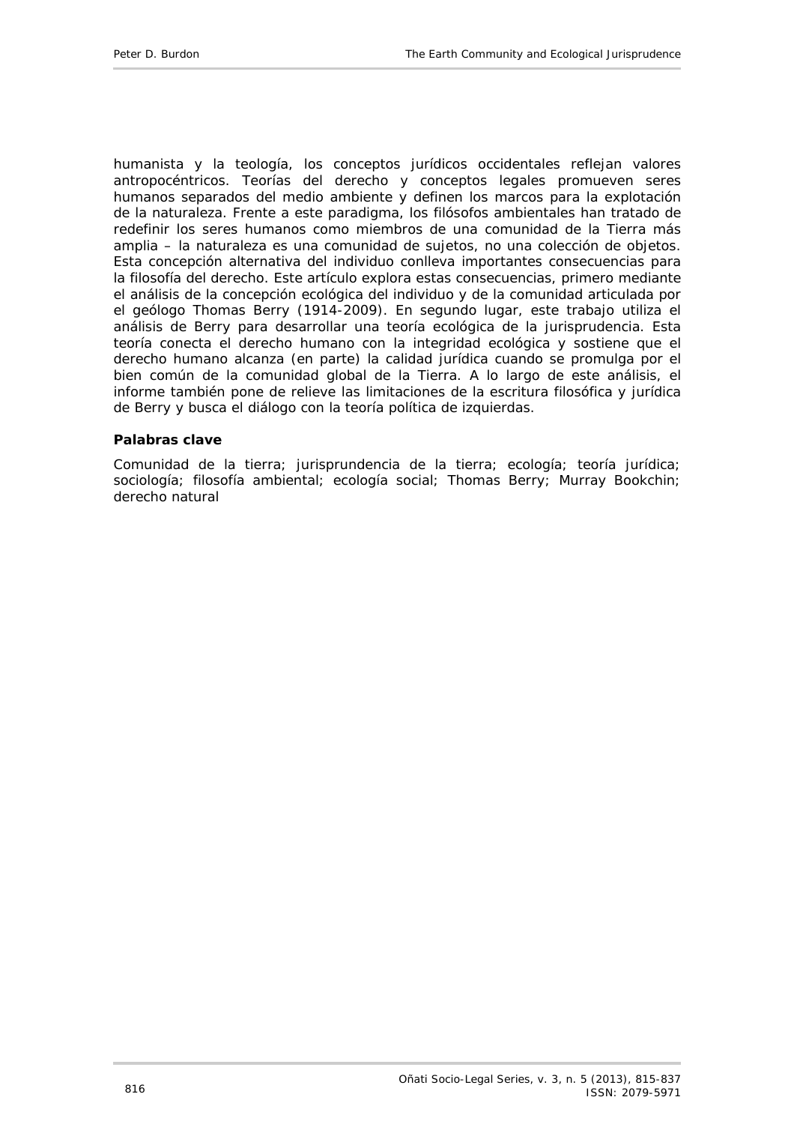humanista y la teología, los conceptos jurídicos occidentales reflejan valores antropocéntricos. Teorías del derecho y conceptos legales promueven seres humanos separados del medio ambiente y definen los marcos para la explotación de la naturaleza. Frente a este paradigma, los filósofos ambientales han tratado de redefinir los seres humanos como miembros de una comunidad de la Tierra más amplia – la naturaleza es una comunidad de sujetos, no una colección de objetos. Esta concepción alternativa del individuo conlleva importantes consecuencias para la filosofía del derecho. Este artículo explora estas consecuencias, primero mediante el análisis de la concepción ecológica del individuo y de la comunidad articulada por el geólogo Thomas Berry (1914-2009). En segundo lugar, este trabajo utiliza el análisis de Berry para desarrollar una teoría ecológica de la jurisprudencia. Esta teoría conecta el derecho humano con la integridad ecológica y sostiene que el derecho humano alcanza (en parte) la calidad jurídica cuando se promulga por el bien común de la comunidad global de la Tierra. A lo largo de este análisis, el informe también pone de relieve las limitaciones de la escritura filosófica y jurídica de Berry y busca el diálogo con la teoría política de izquierdas.

## **Palabras clave**

Comunidad de la tierra; jurisprundencia de la tierra; ecología; teoría jurídica; sociología; filosofía ambiental; ecología social; Thomas Berry; Murray Bookchin; derecho natural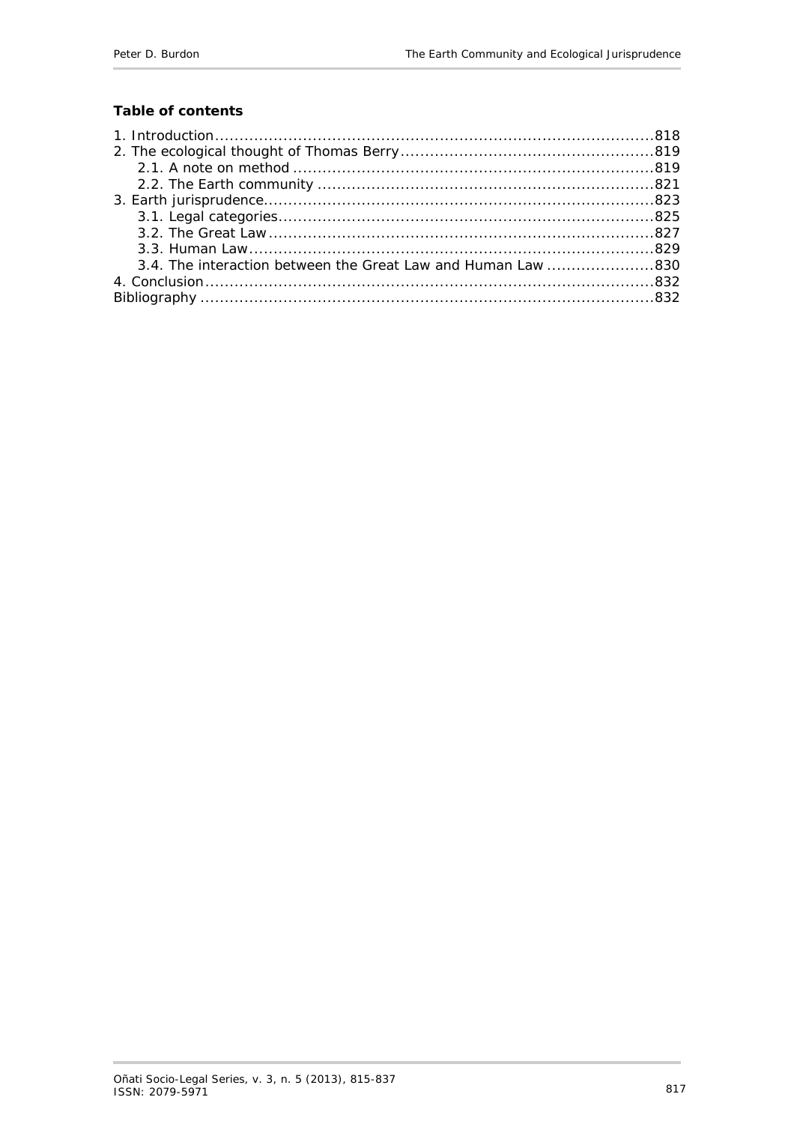# **Table of contents**

| 3.4. The interaction between the Great Law and Human Law 830 |  |
|--------------------------------------------------------------|--|
|                                                              |  |
|                                                              |  |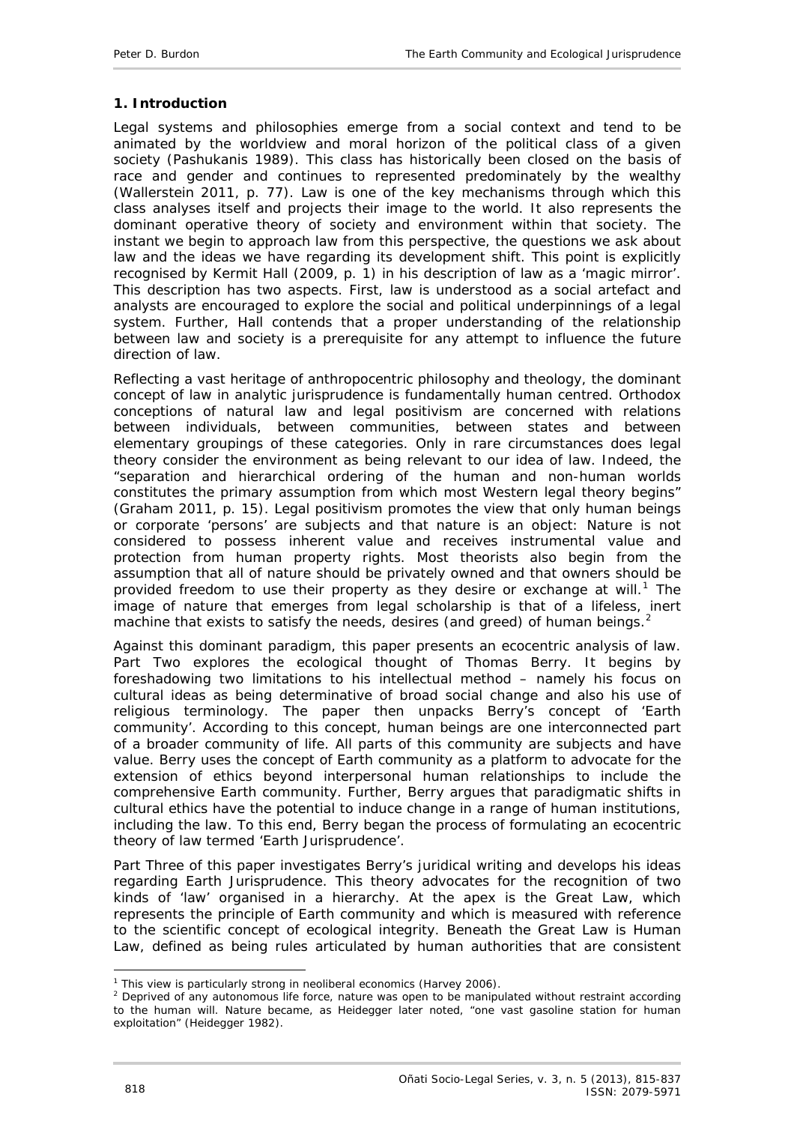# <span id="page-3-0"></span>**1. Introduction**

Legal systems and philosophies emerge from a social context and tend to be animated by the worldview and moral horizon of the political class of a given society (Pashukanis 1989). This class has historically been closed on the basis of race and gender and continues to represented predominately by the wealthy (Wallerstein 2011, p. 77). Law is one of the key mechanisms through which this class analyses itself and projects their image to the world. It also represents the dominant operative theory of society and environment within that society. The instant we begin to approach law from this perspective, the questions we ask about law and the ideas we have regarding its development shift. This point is explicitly recognised by Kermit Hall (2009, p. 1) in his description of law as a 'magic mirror'. This description has two aspects. First, law is understood as a social artefact and analysts are encouraged to explore the social and political underpinnings of a legal system. Further, Hall contends that a proper understanding of the relationship between law and society is a prerequisite for any attempt to influence the future direction of law.

Reflecting a vast heritage of anthropocentric philosophy and theology, the dominant concept of law in analytic jurisprudence is fundamentally human centred. Orthodox conceptions of natural law and legal positivism are concerned with relations between individuals, between communities, between states and between elementary groupings of these categories. Only in rare circumstances does legal theory consider the environment as being relevant to our idea of law. Indeed, the "separation and hierarchical ordering of the human and non-human worlds constitutes the primary assumption from which most Western legal theory begins" (Graham 2011, p. 15). Legal positivism promotes the view that only human beings or corporate 'persons' are subjects and that nature is an object: Nature is not considered to possess inherent value and receives instrumental value and protection from human property rights. Most theorists also begin from the assumption that all of nature should be privately owned and that owners should be provided freedom to use their property as they desire or exchange at will.<sup>[1](#page-3-1)</sup> The image of nature that emerges from legal scholarship is that of a lifeless, inert machine that exists to satisfy the needs, desires (and greed) of human beings.<sup>[2](#page-3-2)</sup>

Against this dominant paradigm, this paper presents an ecocentric analysis of law. Part Two explores the ecological thought of Thomas Berry. It begins by foreshadowing two limitations to his intellectual method – namely his focus on cultural ideas as being determinative of broad social change and also his use of religious terminology. The paper then unpacks Berry's concept of 'Earth community'. According to this concept, human beings are one interconnected part of a broader community of life. All parts of this community are subjects and have value. Berry uses the concept of Earth community as a platform to advocate for the extension of ethics beyond interpersonal human relationships to include the comprehensive Earth community. Further, Berry argues that paradigmatic shifts in cultural ethics have the potential to induce change in a range of human institutions, including the law. To this end, Berry began the process of formulating an ecocentric theory of law termed 'Earth Jurisprudence'.

Part Three of this paper investigates Berry's juridical writing and develops his ideas regarding Earth Jurisprudence. This theory advocates for the recognition of two kinds of 'law' organised in a hierarchy. At the apex is the Great Law, which represents the principle of Earth community and which is measured with reference to the scientific concept of ecological integrity. Beneath the Great Law is Human Law, defined as being rules articulated by human authorities that are consistent

<sup>&</sup>lt;sup>1</sup> This view is particularly strong in neoliberal economics (Harvey 2006).

<span id="page-3-2"></span><span id="page-3-1"></span><sup>&</sup>lt;sup>2</sup> Deprived of any autonomous life force, nature was open to be manipulated without restraint according to the human will. Nature became, as Heidegger later noted, "one vast gasoline station for human exploitation" (Heidegger 1982).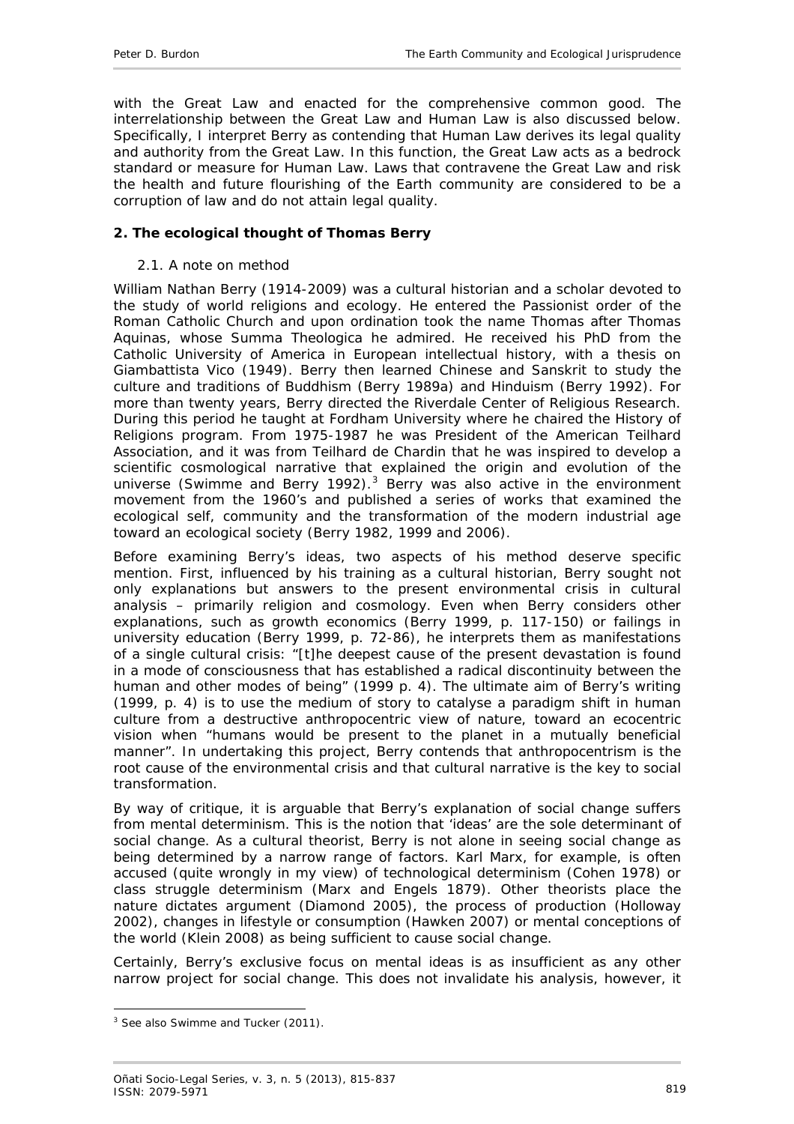<span id="page-4-0"></span>with the Great Law and enacted for the comprehensive common good. The interrelationship between the Great Law and Human Law is also discussed below. Specifically, I interpret Berry as contending that Human Law derives its legal quality and authority from the Great Law. In this function, the Great Law acts as a bedrock standard or measure for Human Law. Laws that contravene the Great Law and risk the health and future flourishing of the Earth community are considered to be a corruption of law and do not attain legal quality.

# **2. The ecological thought of Thomas Berry**

## *2.1. A note on method*

William Nathan Berry (1914-2009) was a cultural historian and a scholar devoted to the study of world religions and ecology. He entered the Passionist order of the Roman Catholic Church and upon ordination took the name Thomas after Thomas Aquinas, whose *Summa Theologica* he admired. He received his PhD from the Catholic University of America in European intellectual history, with a thesis on Giambattista Vico (1949). Berry then learned Chinese and Sanskrit to study the culture and traditions of Buddhism (Berry 1989a) and Hinduism (Berry 1992). For more than twenty years, Berry directed the Riverdale Center of Religious Research. During this period he taught at Fordham University where he chaired the History of Religions program. From 1975-1987 he was President of the American Teilhard Association, and it was from Teilhard de Chardin that he was inspired to develop a scientific cosmological narrative that explained the origin and evolution of the universe (Swimme and Berry 1992). $3$  Berry was also active in the environment movement from the 1960's and published a series of works that examined the ecological self, community and the transformation of the modern industrial age toward an ecological society (Berry 1982, 1999 and 2006).

Before examining Berry's ideas, two aspects of his method deserve specific mention. First, influenced by his training as a cultural historian, Berry sought not only explanations but answers to the present environmental crisis in cultural analysis – primarily religion and cosmology. Even when Berry considers other explanations, such as growth economics (Berry 1999, p. 117-150) or failings in university education (Berry 1999, p. 72-86), he interprets them as manifestations of a single cultural crisis: "[t]he deepest cause of the present devastation is found in a mode of consciousness that has established a radical discontinuity between the human and other modes of being" (1999 p. 4). The ultimate aim of Berry's writing (1999, p. 4) is to use the medium of story to catalyse a paradigm shift in human culture from a destructive anthropocentric view of nature, toward an ecocentric vision when "humans would be present to the planet in a mutually beneficial manner". In undertaking this project, Berry contends that anthropocentrism is the root cause of the environmental crisis and that cultural narrative is the key to social transformation.

By way of critique, it is arguable that Berry's explanation of social change suffers from mental determinism. This is the notion that 'ideas' are the sole determinant of social change. As a cultural theorist, Berry is not alone in seeing social change as being determined by a narrow range of factors. Karl Marx, for example, is often accused (quite wrongly in my view) of technological determinism (Cohen 1978) or class struggle determinism (Marx and Engels 1879). Other theorists place the nature dictates argument (Diamond 2005), the process of production (Holloway 2002), changes in lifestyle or consumption (Hawken 2007) or mental conceptions of the world (Klein 2008) as being sufficient to cause social change.

Certainly, Berry's exclusive focus on mental ideas is as insufficient as any other narrow project for social change. This does not invalidate his analysis, however, it

<span id="page-4-1"></span><sup>&</sup>lt;sup>3</sup> See also Swimme and Tucker (2011).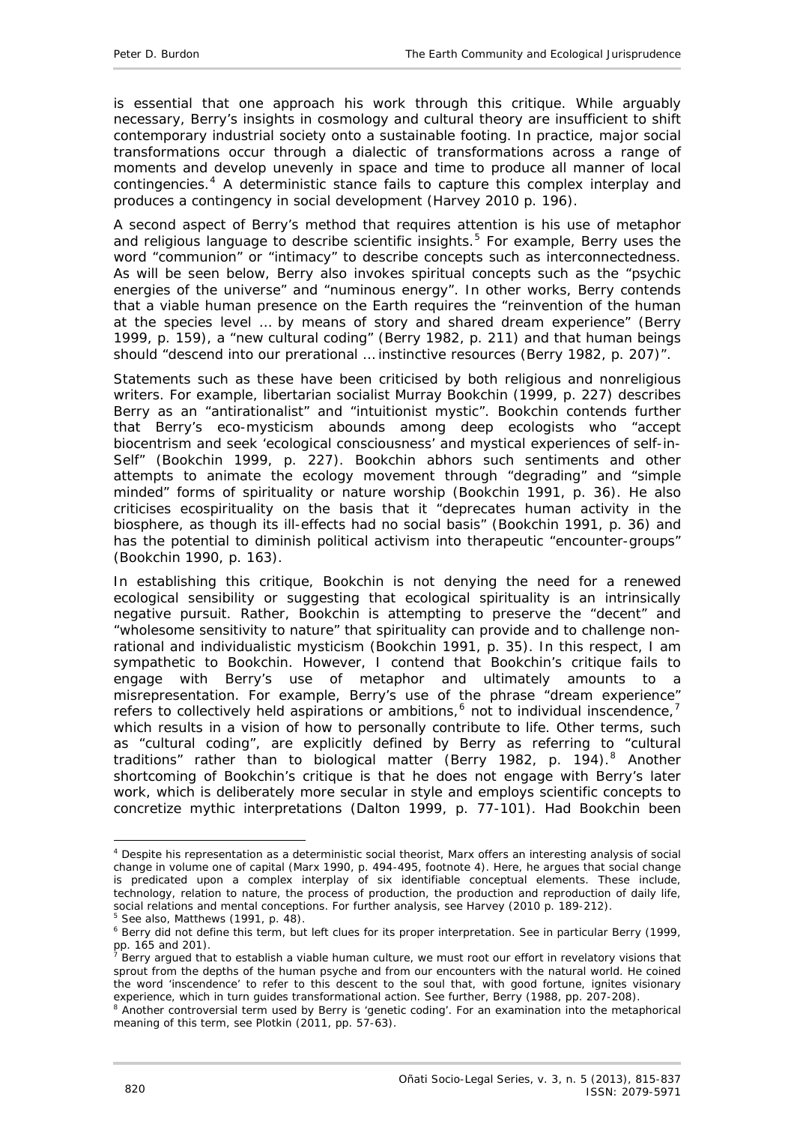is essential that one approach his work through this critique. While arguably necessary, Berry's insights in cosmology and cultural theory are insufficient to shift contemporary industrial society onto a sustainable footing. In practice, major social transformations occur through a dialectic of transformations across a range of moments and develop unevenly in space and time to produce all manner of local contingencies.[4](#page-5-0) A deterministic stance fails to capture this complex interplay and produces a contingency in social development (Harvey 2010 p. 196).

A second aspect of Berry's method that requires attention is his use of metaphor and religious language to describe scientific insights.<sup>[5](#page-5-1)</sup> For example, Berry uses the word "communion" or "intimacy" to describe concepts such as interconnectedness. As will be seen below, Berry also invokes spiritual concepts such as the "psychic energies of the universe" and "numinous energy". In other works, Berry contends that a viable human presence on the Earth requires the "reinvention of the human at the species level … by means of story and shared dream experience" (Berry 1999, p. 159), a "new cultural coding" (Berry 1982, p. 211) and that human beings should "descend into our prerational … instinctive resources (Berry 1982, p. 207)".

Statements such as these have been criticised by both religious and nonreligious writers. For example, libertarian socialist Murray Bookchin (1999, p. 227) describes Berry as an "antirationalist" and "intuitionist mystic". Bookchin contends further that Berry's eco-mysticism abounds among deep ecologists who "accept biocentrism and seek 'ecological consciousness' and mystical experiences of self-in-Self" (Bookchin 1999, p. 227). Bookchin abhors such sentiments and other attempts to animate the ecology movement through "degrading" and "simple minded" forms of spirituality or nature worship (Bookchin 1991, p. 36). He also criticises ecospirituality on the basis that it "deprecates human activity in the biosphere, as though its ill-effects had no social basis" (Bookchin 1991, p. 36) and has the potential to diminish political activism into therapeutic "encounter-groups" (Bookchin 1990, p. 163).

In establishing this critique, Bookchin is not denying the need for a renewed ecological sensibility or suggesting that ecological spirituality is an intrinsically negative pursuit. Rather, Bookchin is attempting to preserve the "decent" and "wholesome sensitivity to nature" that spirituality *can* provide and to challenge nonrational and individualistic mysticism (Bookchin 1991, p. 35). In this respect, I am sympathetic to Bookchin. However, I contend that Bookchin's critique fails to engage with Berry's use of metaphor and ultimately amounts to a misrepresentation. For example, Berry's use of the phrase "dream experience" refers to collectively held aspirations or ambitions, $6$  not to individual inscendence, $7$ which results in a vision of how to personally contribute to life. Other terms, such as "cultural coding", are explicitly defined by Berry as referring to "cultural traditions" rather than to biological matter (Berry 19[8](#page-5-4)2, p. 194).<sup>8</sup> Another shortcoming of Bookchin's critique is that he does not engage with Berry's later work, which is deliberately more secular in style and employs scientific concepts to concretize mythic interpretations (Dalton 1999, p. 77-101). Had Bookchin been

<span id="page-5-0"></span><sup>4</sup> Despite his representation as a deterministic social theorist, Marx offers an interesting analysis of social change in volume one of capital (Marx 1990, p. 494-495, footnote 4). Here, he argues that social change is predicated upon a complex interplay of six identifiable conceptual elements. These include, technology, relation to nature, the process of production, the production and reproduction of daily life, social relations and mental conceptions. For further analysis, see Harvey (2010 p. 189-212).

<span id="page-5-1"></span> $5$  See also, Matthews (1991, p. 48).

<span id="page-5-2"></span><sup>&</sup>lt;sup>6</sup> Berry did not define this term, but left clues for its proper interpretation. See in particular Berry (1999, pp. 165 and 201).<br><sup>7</sup> Perry argued that

<span id="page-5-3"></span>Berry argued that to establish a viable human culture, we must root our effort in revelatory visions that sprout from the depths of the human psyche and from our encounters with the natural world. He coined the word 'inscendence' to refer to this descent to the soul that, with good fortune, ignites visionary experience, which in turn guides transformational action. See further, Berry (1988, pp. 207-208).

<span id="page-5-4"></span><sup>&</sup>lt;sup>8</sup> Another controversial term used by Berry is 'genetic coding'. For an examination into the metaphorical meaning of this term, see Plotkin (2011, pp. 57-63).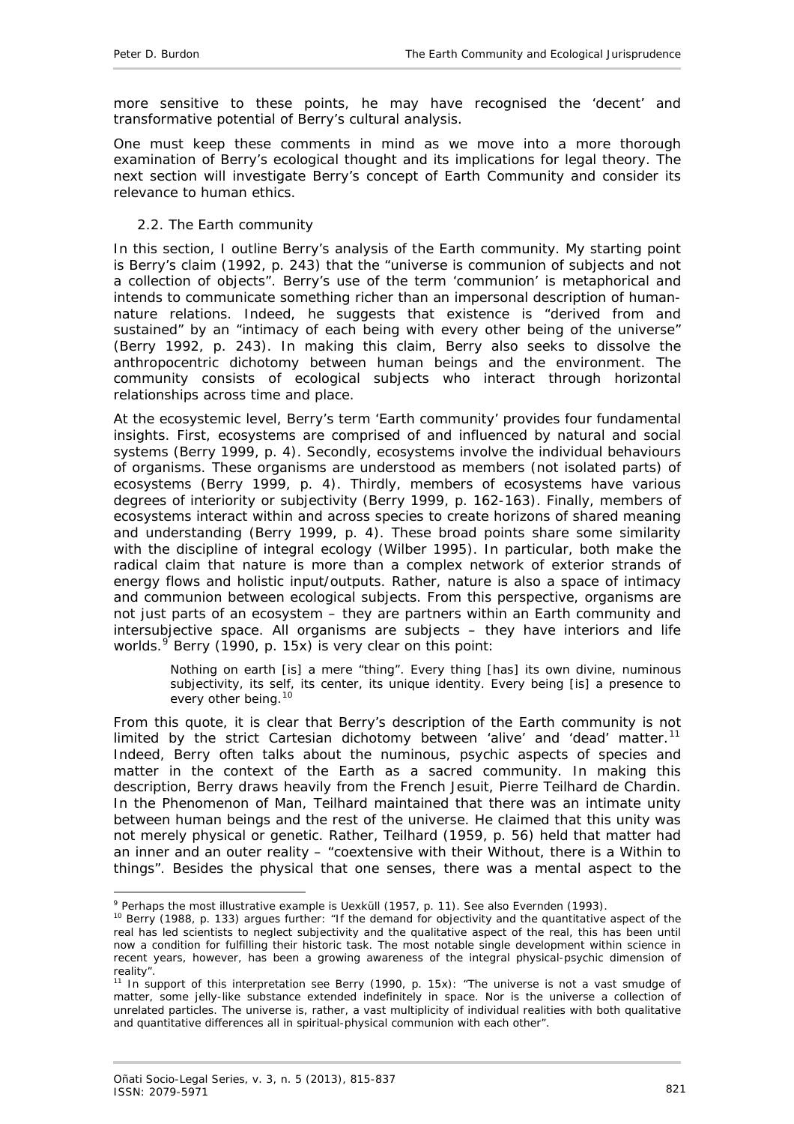<span id="page-6-0"></span>more sensitive to these points, he may have recognised the 'decent' and transformative potential of Berry's cultural analysis.

One must keep these comments in mind as we move into a more thorough examination of Berry's ecological thought and its implications for legal theory. The next section will investigate Berry's concept of Earth Community and consider its relevance to human ethics.

## *2.2. The Earth community*

In this section, I outline Berry's analysis of the Earth community. My starting point is Berry's claim (1992, p. 243) that the "universe is communion of subjects and not a collection of objects". Berry's use of the term 'communion' is metaphorical and intends to communicate something richer than an impersonal description of humannature relations. Indeed, he suggests that existence is "derived from and sustained" by an "intimacy of each being with every other being of the universe" (Berry 1992, p. 243). In making this claim, Berry also seeks to dissolve the anthropocentric dichotomy between human beings and the environment. The community consists of ecological subjects who interact through horizontal relationships across time and place.

At the ecosystemic level, Berry's term 'Earth community' provides four fundamental insights. First, ecosystems are comprised of and influenced by natural and social systems (Berry 1999, p. 4). Secondly, ecosystems involve the individual behaviours of organisms. These organisms are understood as members (not isolated parts) of ecosystems (Berry 1999, p. 4). Thirdly, members of ecosystems have various degrees of interiority or subjectivity (Berry 1999, p. 162-163). Finally, members of ecosystems interact within and across species to create horizons of shared meaning and understanding (Berry 1999, p. 4). These broad points share some similarity with the discipline of integral ecology (Wilber 1995). In particular, both make the radical claim that nature is more than a complex network of exterior strands of energy flows and holistic input/outputs. Rather, nature is also a space of intimacy and communion between ecological subjects. From this perspective, organisms are not just parts of an ecosystem – they are partners within an Earth community and intersubjective space. All organisms are subjects – they have interiors and life worlds. $9$  Berry (1990, p. 15x) is very clear on this point:

Nothing on earth [is] a mere "thing". Every thing [has] its own divine, numinous subjectivity, its self, its center, its unique identity. Every being [is] a presence to every other being.<sup>[10](#page-6-2)</sup>

From this quote, it is clear that Berry's description of the Earth community is not limited by the strict Cartesian dichotomy between 'alive' and 'dead' matter.<sup>[11](#page-6-3)</sup> Indeed, Berry often talks about the numinous, psychic aspects of species and matter in the context of the Earth as a sacred community. In making this description, Berry draws heavily from the French Jesuit, Pierre Teilhard de Chardin. In the *Phenomenon of Man*, Teilhard maintained that there was an intimate unity between human beings and the rest of the universe. He claimed that this unity was not merely physical or genetic. Rather, Teilhard (1959, p. 56) held that matter had an inner and an outer reality – "coextensive with their Without, there is a Within to things". Besides the physical that one senses, there was a mental aspect to the

<sup>&</sup>lt;sup>9</sup> Perhaps the most illustrative example is Uexküll (1957, p. 11). See also Evernden (1993).

<span id="page-6-2"></span><span id="page-6-1"></span> $10$  Berry (1988, p. 133) argues further: "If the demand for objectivity and the quantitative aspect of the real has led scientists to neglect subjectivity and the qualitative aspect of the real, this has been until now a condition for fulfilling their historic task. The most notable single development within science in recent years, however, has been a growing awareness of the integral physical-psychic dimension of reality".

<span id="page-6-3"></span><sup>&</sup>lt;sup>11</sup> In support of this interpretation see Berry (1990, p. 15x): "The universe is not a vast smudge of matter, some jelly-like substance extended indefinitely in space. Nor is the universe a collection of unrelated particles. The universe is, rather, a vast multiplicity of individual realities with both qualitative and quantitative differences all in spiritual-physical communion with each other".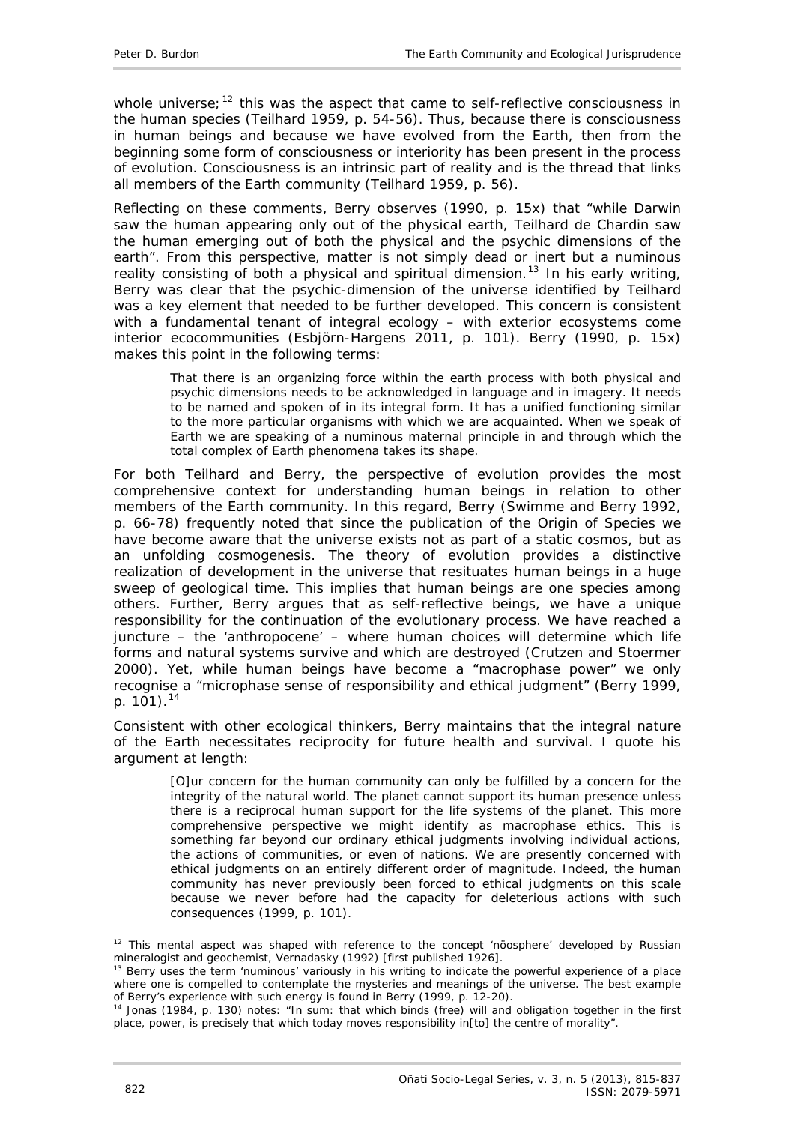whole universe; $12$  this was the aspect that came to self-reflective consciousness in the human species (Teilhard 1959, p. 54-56). Thus, because there is consciousness in human beings and because we have evolved from the Earth, then from the beginning some form of consciousness or interiority has been present in the process of evolution. Consciousness is an intrinsic part of reality and is the thread that links all members of the Earth community (Teilhard 1959, p. 56).

Reflecting on these comments, Berry observes (1990, p. 15x) that "while Darwin saw the human appearing only out of the physical earth, Teilhard de Chardin saw the human emerging out of both the physical and the psychic dimensions of the earth". From this perspective, matter is not simply dead or inert but a numinous reality consisting of both a physical and spiritual dimension.<sup>[13](#page-7-1)</sup> In his early writing, Berry was clear that the psychic-dimension of the universe identified by Teilhard was a key element that needed to be further developed. This concern is consistent with a fundamental tenant of integral ecology – with exterior ecosystems come interior ecocommunities (Esbjörn-Hargens 2011, p. 101). Berry (1990, p. 15x) makes this point in the following terms:

That there is an organizing force within the earth process with both physical and psychic dimensions needs to be acknowledged in language and in imagery. It needs to be named and spoken of in its integral form. It has a unified functioning similar to the more particular organisms with which we are acquainted. When we speak of Earth we are speaking of a numinous maternal principle in and through which the total complex of Earth phenomena takes its shape.

For both Teilhard and Berry, the perspective of evolution provides the most comprehensive context for understanding human beings in relation to other members of the Earth community. In this regard, Berry (Swimme and Berry 1992, p. 66-78) frequently noted that since the publication of the *Origin of Species* we have become aware that the universe exists not as part of a static cosmos, but as an unfolding cosmogenesis. The theory of evolution provides a distinctive realization of development in the universe that resituates human beings in a huge sweep of geological time. This implies that human beings are one species among others. Further, Berry argues that as self-reflective beings, we have a unique responsibility for the continuation of the evolutionary process. We have reached a juncture – the 'anthropocene' – where human choices will determine which life forms and natural systems survive and which are destroyed (Crutzen and Stoermer 2000). Yet, while human beings have become a "macrophase power" we only recognise a "microphase sense of responsibility and ethical judgment" (Berry 1999, p.  $101$ ).<sup>[14](#page-7-2)</sup>

Consistent with other ecological thinkers, Berry maintains that the integral nature of the Earth necessitates reciprocity for future health and survival. I quote his argument at length:

[O]ur concern for the human community can only be fulfilled by a concern for the integrity of the natural world. The planet cannot support its human presence unless there is a reciprocal human support for the life systems of the planet. This more comprehensive perspective we might identify as macrophase ethics. This is something far beyond our ordinary ethical judgments involving individual actions, the actions of communities, or even of nations. We are presently concerned with ethical judgments on an entirely different order of magnitude. Indeed, the human community has never previously been forced to ethical judgments on this scale because we never before had the capacity for deleterious actions with such consequences (1999, p. 101).

<span id="page-7-0"></span> $12$  This mental aspect was shaped with reference to the concept 'nöosphere' developed by Russian mineralogist and geochemist, Vernadasky (1992) [first published 1926].

<span id="page-7-1"></span><sup>&</sup>lt;sup>13</sup> Berry uses the term 'numinous' variously in his writing to indicate the powerful experience of a place where one is compelled to contemplate the mysteries and meanings of the universe. The best example of Berry's experience with such energy is found in Berry (1999, p. 12-20).

<span id="page-7-2"></span><sup>&</sup>lt;sup>14</sup> Jonas (1984, p. 130) notes: "In sum: that which binds (free) will and obligation together in the first place, power, is precisely that which today moves responsibility in[to] the centre of morality".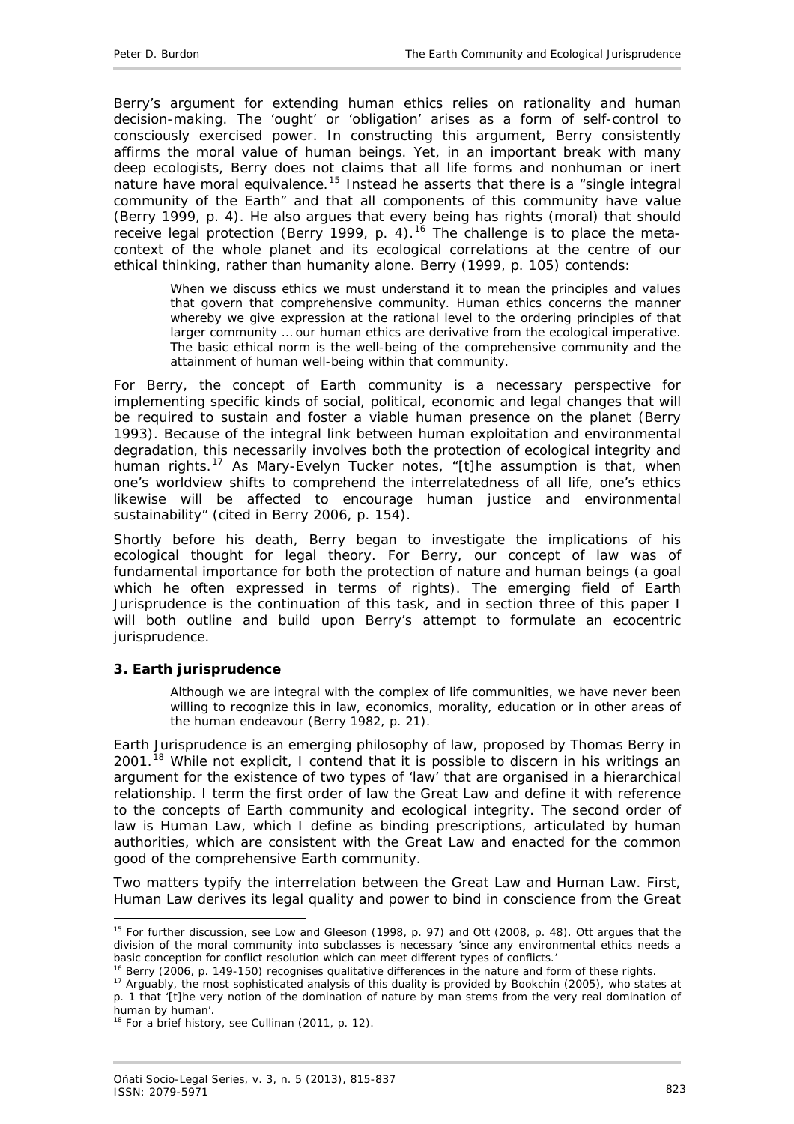<span id="page-8-0"></span>Berry's argument for extending human ethics relies on rationality and human decision-making. The 'ought' or 'obligation' arises as a form of self-control to consciously exercised power. In constructing this argument, Berry consistently affirms the moral value of human beings. Yet, in an important break with many deep ecologists, Berry does not claims that all life forms and nonhuman or inert nature have moral equivalence.<sup>[15](#page-8-1)</sup> Instead he asserts that there is a "single integral community of the Earth" and that all components of this community have value (Berry 1999, p. 4). He also argues that every being has rights (moral) that should receive legal protection (Berry 1999, p. 4).[16](#page-8-2) The challenge is to place the metacontext of the whole planet and its ecological correlations at the centre of our ethical thinking, rather than humanity alone. Berry (1999, p. 105) contends:

When we discuss ethics we must understand it to mean the principles and values that govern that comprehensive community. Human ethics concerns the manner whereby we give expression at the rational level to the ordering principles of that larger community … our human ethics are derivative from the ecological imperative. The basic ethical norm is the well-being of the comprehensive community and the attainment of human well-being within that community.

For Berry, the concept of Earth community is a necessary perspective for implementing specific kinds of social, political, economic and legal changes that will be required to sustain and foster a viable human presence on the planet (Berry 1993). Because of the integral link between human exploitation and environmental degradation, this necessarily involves both the protection of ecological integrity and human rights.<sup>[17](#page-8-3)</sup> As Mary-Evelyn Tucker notes, "[t]he assumption is that, when one's worldview shifts to comprehend the interrelatedness of all life, one's ethics likewise will be affected to encourage human justice and environmental sustainability" (cited in Berry 2006, p. 154).

Shortly before his death, Berry began to investigate the implications of his ecological thought for legal theory. For Berry, our concept of law was of fundamental importance for both the protection of nature and human beings (a goal which he often expressed in terms of rights). The emerging field of Earth Jurisprudence is the continuation of this task, and in section three of this paper I will both outline and build upon Berry's attempt to formulate an ecocentric jurisprudence.

# **3. Earth jurisprudence**

Although we are integral with the complex of life communities, we have never been willing to recognize this in law, economics, morality, education or in other areas of the human endeavour (Berry 1982, p. 21).

Earth Jurisprudence is an emerging philosophy of law, proposed by Thomas Berry in  $2001<sup>18</sup>$  $2001<sup>18</sup>$  $2001<sup>18</sup>$  While not explicit, I contend that it is possible to discern in his writings an argument for the existence of two types of 'law' that are organised in a hierarchical relationship. I term the first order of law the Great Law and define it with reference to the concepts of Earth community and ecological integrity. The second order of law is Human Law, which I define as binding prescriptions, articulated by human authorities, which are consistent with the Great Law and enacted for the common good of the comprehensive Earth community.

Two matters typify the interrelation between the Great Law and Human Law. First, Human Law derives its legal quality and power to bind in conscience from the Great

<span id="page-8-1"></span> $\overline{a}$ <sup>15</sup> For further discussion, see Low and Gleeson (1998, p. 97) and Ott (2008, p. 48). Ott argues that the division of the moral community into subclasses is necessary 'since any environmental ethics needs a

<span id="page-8-3"></span>

<span id="page-8-2"></span>basic conception for conflict resolution which can meet different types of conflicts.'<br><sup>16</sup> Berry (2006, p. 149-150) recognises qualitative differences in the nature and form of these rights.<br><sup>17</sup> Arguably, the most sophis p. 1 that '[t]he very notion of the domination of nature by man stems from the very real domination of human by human'.

<span id="page-8-4"></span> $18$  For a brief history, see Cullinan (2011, p. 12).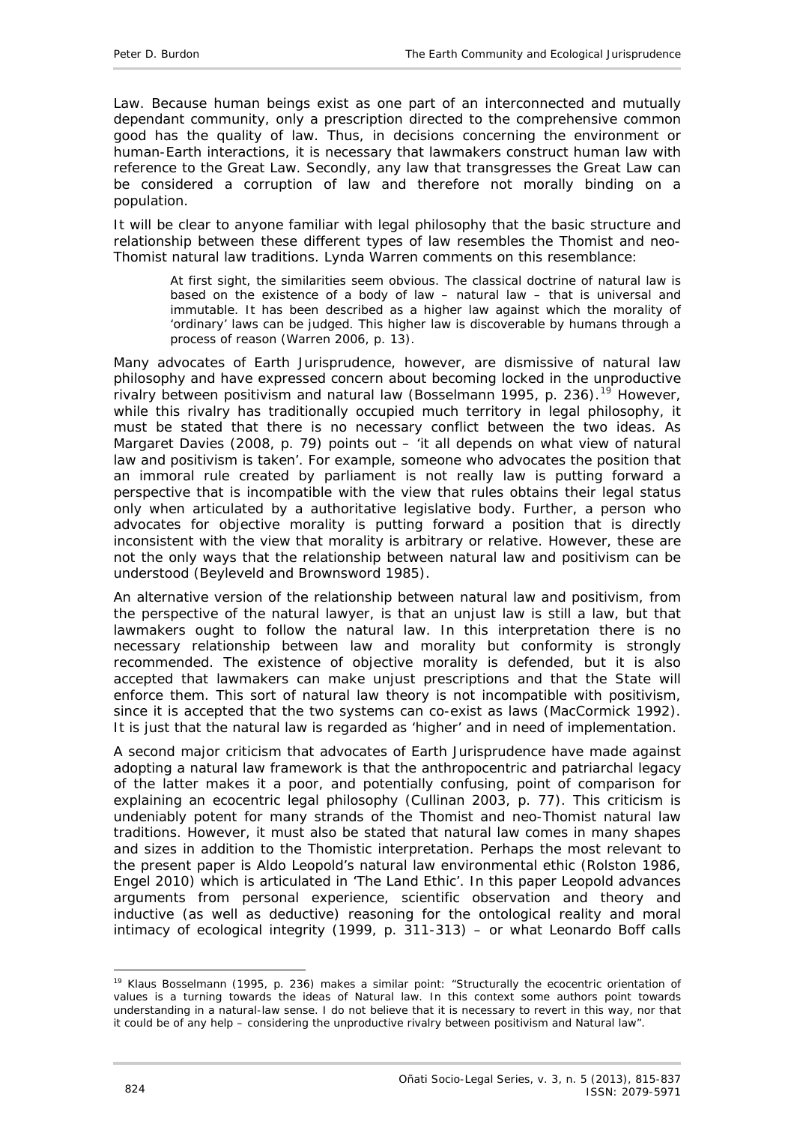Law. Because human beings exist as one part of an interconnected and mutually dependant community, only a prescription directed to the comprehensive common good has the quality of law. Thus, in decisions concerning the environment or human-Earth interactions, it is necessary that lawmakers construct human law with reference to the Great Law. Secondly, any law that transgresses the Great Law can be considered a corruption of law and therefore not morally binding on a population.

It will be clear to anyone familiar with legal philosophy that the basic structure and relationship between these different types of law resembles the Thomist and neo-Thomist natural law traditions. Lynda Warren comments on this resemblance:

At first sight, the similarities seem obvious. The classical doctrine of natural law is based on the existence of a body of law – natural law – that is universal and immutable. It has been described as a higher law against which the morality of 'ordinary' laws can be judged. This higher law is discoverable by humans through a process of reason (Warren 2006, p. 13).

Many advocates of Earth Jurisprudence, however, are dismissive of natural law philosophy and have expressed concern about becoming locked in the unproductive rivalry between positivism and natural law (Bosselmann [19](#page-9-0)95, p. 236).<sup>19</sup> However, while this rivalry has traditionally occupied much territory in legal philosophy, it must be stated that there is no *necessary* conflict between the two ideas. As Margaret Davies (2008, p. 79) points out – 'it all depends on what view of natural law and positivism is taken'. For example, someone who advocates the position that an immoral rule created by parliament is not really law is putting forward a perspective that is incompatible with the view that rules obtains their legal status only when articulated by a authoritative legislative body. Further, a person who advocates for objective morality is putting forward a position that is directly inconsistent with the view that morality is arbitrary or relative. However, these are not the only ways that the relationship between natural law and positivism can be understood (Beyleveld and Brownsword 1985).

An alternative version of the relationship between natural law and positivism, from the perspective of the natural lawyer, is that an unjust law is still a law, but that lawmakers ought to follow the natural law. In this interpretation there is no *necessary* relationship between law and morality but conformity is strongly recommended. The existence of objective morality is defended, but it is also accepted that lawmakers can make unjust prescriptions and that the State will enforce them. This sort of natural law theory is not incompatible with positivism, since it is accepted that the two systems can co-exist as laws (MacCormick 1992). It is just that the natural law is regarded as 'higher' and in need of implementation.

A second major criticism that advocates of Earth Jurisprudence have made against adopting a natural law framework is that the anthropocentric and patriarchal legacy of the latter makes it a poor, and potentially confusing, point of comparison for explaining an ecocentric legal philosophy (Cullinan 2003, p. 77). This criticism is undeniably potent for many strands of the Thomist and neo-Thomist natural law traditions. However, it must also be stated that natural law comes in many shapes and sizes in addition to the Thomistic interpretation. Perhaps the most relevant to the present paper is Aldo Leopold's natural law environmental ethic (Rolston 1986, Engel 2010) which is articulated in 'The Land Ethic'. In this paper Leopold advances arguments from personal experience, scientific observation and theory and inductive (as well as deductive) reasoning for the ontological reality and moral intimacy of ecological integrity (1999, p. 311-313) – or what Leonardo Boff calls

<span id="page-9-0"></span><sup>&</sup>lt;sup>19</sup> Klaus Bosselmann (1995, p. 236) makes a similar point: "Structurally the ecocentric orientation of values is a turning towards the ideas of Natural law. In this context some authors point towards understanding in a natural-law sense. I do not believe that it is necessary to revert in this way, nor that it could be of any help – considering the unproductive rivalry between positivism and Natural law".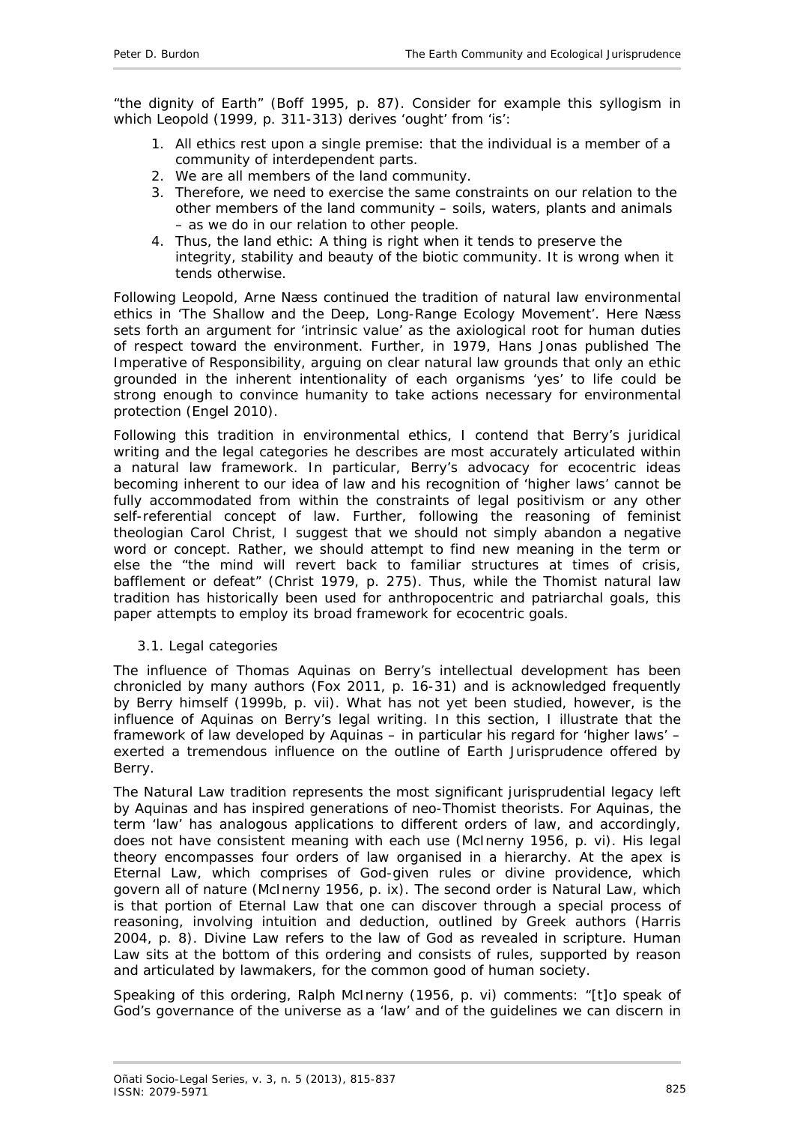<span id="page-10-0"></span>"the dignity of Earth" (Boff 1995, p. 87). Consider for example this syllogism in which Leopold (1999, p. 311-313) derives 'ought' from 'is':

- 1. All ethics rest upon a single premise: that the individual is a member of a community of interdependent parts.
- 2. We are all members of the land community.
- 3. Therefore, we need to exercise the same constraints on our relation to the other members of the land community – soils, waters, plants and animals – as we do in our relation to other people.
- 4. Thus, the land ethic: A thing is right when it tends to preserve the integrity, stability and beauty of the biotic community. It is wrong when it tends otherwise.

Following Leopold, Arne Næss continued the tradition of natural law environmental ethics in 'The Shallow and the Deep, Long-Range Ecology Movement'. Here Næss sets forth an argument for 'intrinsic value' as the axiological root for human duties of respect toward the environment. Further, in 1979, Hans Jonas published *The Imperative of Responsibility*, arguing on clear natural law grounds that only an ethic grounded in the inherent intentionality of each organisms 'yes' to life could be strong enough to convince humanity to take actions necessary for environmental protection (Engel 2010).

Following this tradition in environmental ethics, I contend that Berry's juridical writing and the legal categories he describes are most accurately articulated within a natural law framework. In particular, Berry's advocacy for ecocentric ideas becoming *inherent* to our idea of law and his recognition of 'higher laws' cannot be fully accommodated from within the constraints of legal positivism or any other self-referential concept of law. Further, following the reasoning of feminist theologian Carol Christ, I suggest that we should not simply abandon a negative word or concept. Rather, we should attempt to find new meaning in the term or else the "the mind will revert back to familiar structures at times of crisis, bafflement or defeat" (Christ 1979, p. 275). Thus, while the Thomist natural law tradition has historically been used for anthropocentric and patriarchal goals, this paper attempts to employ its broad framework for ecocentric goals.

#### *3.1. Legal categories*

The influence of Thomas Aquinas on Berry's intellectual development has been chronicled by many authors (Fox 2011, p. 16-31) and is acknowledged frequently by Berry himself (1999b, p. vii). What has not yet been studied, however, is the influence of Aquinas on Berry's legal writing. In this section, I illustrate that the framework of law developed by Aquinas – in particular his regard for 'higher laws' – exerted a tremendous influence on the outline of Earth Jurisprudence offered by Berry.

The Natural Law tradition represents the most significant jurisprudential legacy left by Aquinas and has inspired generations of neo-Thomist theorists. For Aquinas, the term 'law' has analogous applications to different orders of law, and accordingly, does not have consistent meaning with each use (McInerny 1956, p. vi). His legal theory encompasses four orders of law organised in a hierarchy. At the apex is Eternal Law, which comprises of God-given rules or divine providence, which govern all of nature (McInerny 1956, p. ix). The second order is Natural Law, which is that portion of Eternal Law that one can discover through a special process of reasoning, involving intuition and deduction, outlined by Greek authors (Harris 2004, p. 8). Divine Law refers to the law of God as revealed in scripture. Human Law sits at the bottom of this ordering and consists of rules, supported by reason and articulated by lawmakers, for the common good of human society.

Speaking of this ordering, Ralph McInerny (1956, p. vi) comments: "[t]o speak of God's governance of the universe as a 'law' and of the guidelines we can discern in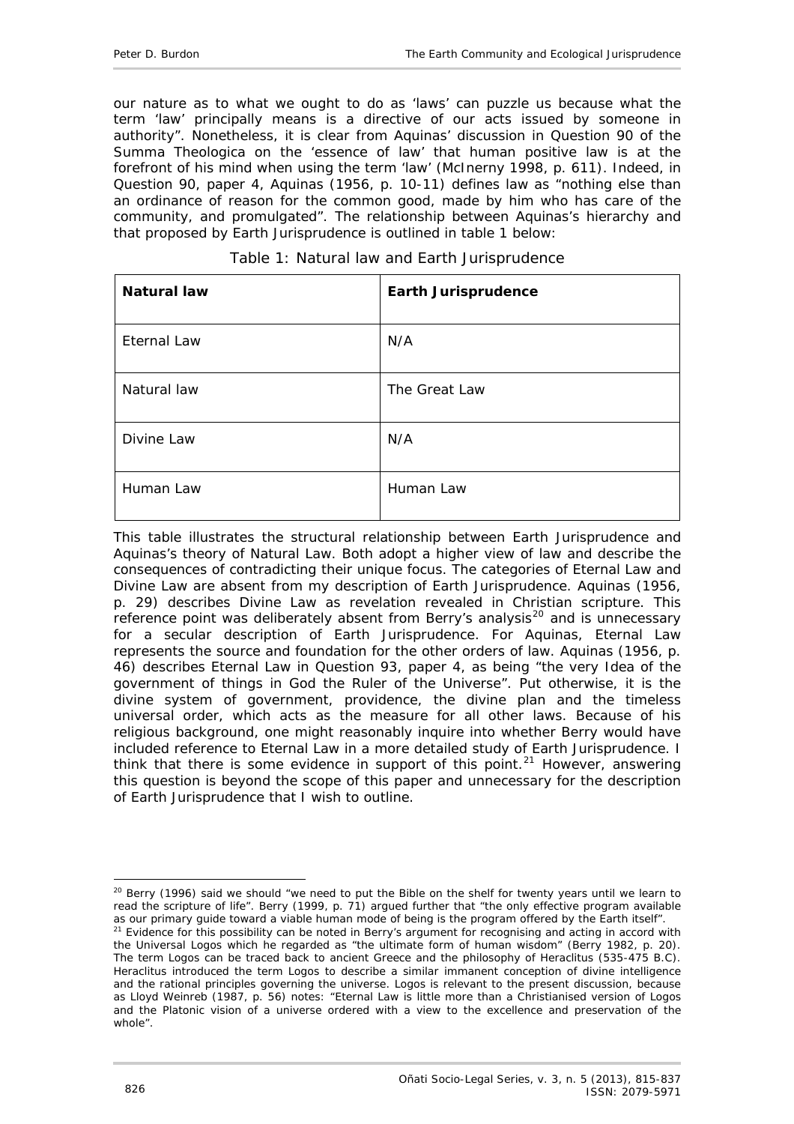our nature as to what we ought to do as 'laws' can puzzle us because what the term 'law' principally means is a directive of our acts issued by someone in authority". Nonetheless, it is clear from Aquinas' discussion in Question 90 of the *Summa Theologica* on the 'essence of law' that human positive law is at the forefront of his mind when using the term 'law' (McInerny 1998, p. 611). Indeed, in Question 90, paper 4, Aquinas (1956, p. 10-11) defines law as "nothing else than an ordinance of reason for the common good, made by him who has care of the community, and promulgated". The relationship between Aquinas's hierarchy and that proposed by Earth Jurisprudence is outlined in table 1 below:

| <b>Natural law</b> | <b>Earth Jurisprudence</b> |
|--------------------|----------------------------|
| <b>Eternal Law</b> | N/A                        |
| Natural law        | The Great Law              |
| Divine Law         | N/A                        |
| Human Law          | Human Law                  |

|  |  |  |  | Table 1: Natural law and Earth Jurisprudence |
|--|--|--|--|----------------------------------------------|
|--|--|--|--|----------------------------------------------|

This table illustrates the structural relationship between Earth Jurisprudence and Aquinas's theory of Natural Law. Both adopt a higher view of law and describe the consequences of contradicting their unique focus. The categories of Eternal Law and Divine Law are absent from my description of Earth Jurisprudence. Aquinas (1956, p. 29) describes Divine Law as revelation revealed in Christian scripture. This reference point was deliberately absent from Berry's analysis<sup>[20](#page-11-0)</sup> and is unnecessary for a secular description of Earth Jurisprudence. For Aquinas, Eternal Law represents the source and foundation for the other orders of law. Aquinas (1956, p. 46) describes Eternal Law in Question 93, paper 4, as being "the very Idea of the government of things in God the Ruler of the Universe". Put otherwise, it is the divine system of government, providence, the divine plan and the timeless universal order, which acts as the measure for all other laws. Because of his religious background, one might reasonably inquire into whether Berry would have included reference to Eternal Law in a more detailed study of Earth Jurisprudence. I think that there is some evidence in support of this point.<sup>[21](#page-11-1)</sup> However, answering this question is beyond the scope of this paper and unnecessary for the description of Earth Jurisprudence that I wish to outline.

<span id="page-11-0"></span> $\overline{a}$  $20$  Berry (1996) said we should "we need to put the Bible on the shelf for twenty years until we learn to read the scripture of life". Berry (1999, p. 71) argued further that "the only effective program available as our primary quide toward a viable human mode of being is the program offered by the Earth itself".

<span id="page-11-1"></span><sup>&</sup>lt;sup>21</sup> Evidence for this possibility can be noted in Berry's argument for recognising and acting in accord with the Universal Logos which he regarded as "the ultimate form of human wisdom" (Berry 1982, p. 20). The term Logos can be traced back to ancient Greece and the philosophy of Heraclitus (535-475 B.C). Heraclitus introduced the term *Logos* to describe a similar immanent conception of divine intelligence and the rational principles governing the universe. Logos is relevant to the present discussion, because as Lloyd Weinreb (1987, p. 56) notes: "Eternal Law is little more than a Christianised version of Logos and the Platonic vision of a universe ordered with a view to the excellence and preservation of the whole".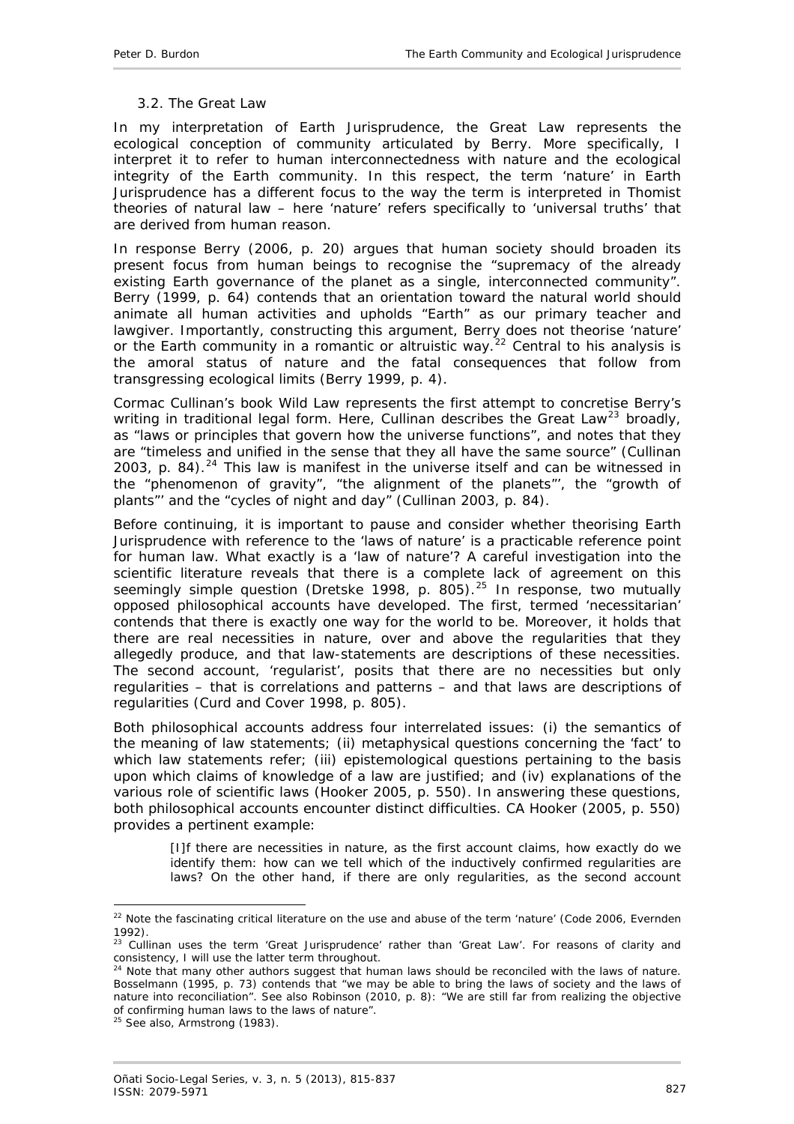## *3.2. The Great Law*

<span id="page-12-0"></span>In my interpretation of Earth Jurisprudence, the Great Law represents the ecological conception of community articulated by Berry. More specifically, I interpret it to refer to human interconnectedness with nature and the ecological integrity of the Earth community. In this respect, the term 'nature' in Earth Jurisprudence has a different focus to the way the term is interpreted in Thomist theories of natural law – here 'nature' refers specifically to 'universal truths' that are derived from human reason.

In response Berry (2006, p. 20) argues that human society should broaden its present focus from human beings to recognise the "supremacy of the already existing Earth governance of the planet as a single, interconnected community". Berry (1999, p. 64) contends that an orientation toward the natural world should animate all human activities and upholds "Earth" as our primary teacher and lawgiver. Importantly, constructing this argument, Berry does not theorise 'nature' or the Earth community in a romantic or altruistic way.<sup>[22](#page-12-1)</sup> Central to his analysis is the amoral status of nature and the fatal consequences that follow from transgressing ecological limits (Berry 1999, p. 4).

Cormac Cullinan's book *Wild Law* represents the first attempt to concretise Berry's writing in traditional legal form. Here, Cullinan describes the Great Law<sup>[23](#page-12-2)</sup> broadly, as "laws or principles that govern how the universe functions", and notes that they are "timeless and unified in the sense that they all have the same source" (Cullinan 2003, p. 84). $24$  This law is manifest in the universe itself and can be witnessed in the "phenomenon of gravity", "the alignment of the planets"', the "growth of plants"' and the "cycles of night and day" (Cullinan 2003, p. 84).

Before continuing, it is important to pause and consider whether theorising Earth Jurisprudence with reference to the 'laws of nature' is a practicable reference point for human law. What exactly is a 'law of nature'? A careful investigation into the scientific literature reveals that there is a complete lack of agreement on this seemingly simple question (Dretske 1998, p. 805).<sup>[25](#page-12-4)</sup> In response, two mutually opposed philosophical accounts have developed. The first, termed 'necessitarian' contends that there is exactly one way for the world to be. Moreover, it holds that there are real necessities in nature, over and above the regularities that they allegedly produce, and that law-statements are descriptions of these necessities. The second account, 'regularist', posits that there are no necessities but only regularities – that is correlations and patterns – and that laws are descriptions of regularities (Curd and Cover 1998, p. 805).

Both philosophical accounts address four interrelated issues: (i) the semantics of the meaning of law statements; (ii) metaphysical questions concerning the 'fact' to which law statements refer; (iii) epistemological questions pertaining to the basis upon which claims of knowledge of a law are justified; and (iv) explanations of the various role of scientific laws (Hooker 2005, p. 550). In answering these questions, both philosophical accounts encounter distinct difficulties. CA Hooker (2005, p. 550) provides a pertinent example:

[I]f there are necessities in nature, as the first account claims, how exactly do we identify them: how can we tell which of the inductively confirmed regularities are laws? On the other hand, if there are only regularities, as the second account

<span id="page-12-1"></span> $\overline{a}$  $22$  Note the fascinating critical literature on the use and abuse of the term 'nature' (Code 2006, Evernden 1992).

<span id="page-12-2"></span> $23$  Cullinan uses the term 'Great Jurisprudence' rather than 'Great Law'. For reasons of clarity and consistency, I will use the latter term throughout.

<span id="page-12-3"></span><sup>&</sup>lt;sup>24</sup> Note that many other authors suggest that human laws should be reconciled with the laws of nature. Bosselmann (1995, p. 73) contends that "we may be able to bring the laws of society and the laws of nature into reconciliation". See also Robinson (2010, p. 8): "We are still far from realizing the objective of confirming human laws to the laws of nature".

<span id="page-12-4"></span> $25$  See also, Armstrong (1983).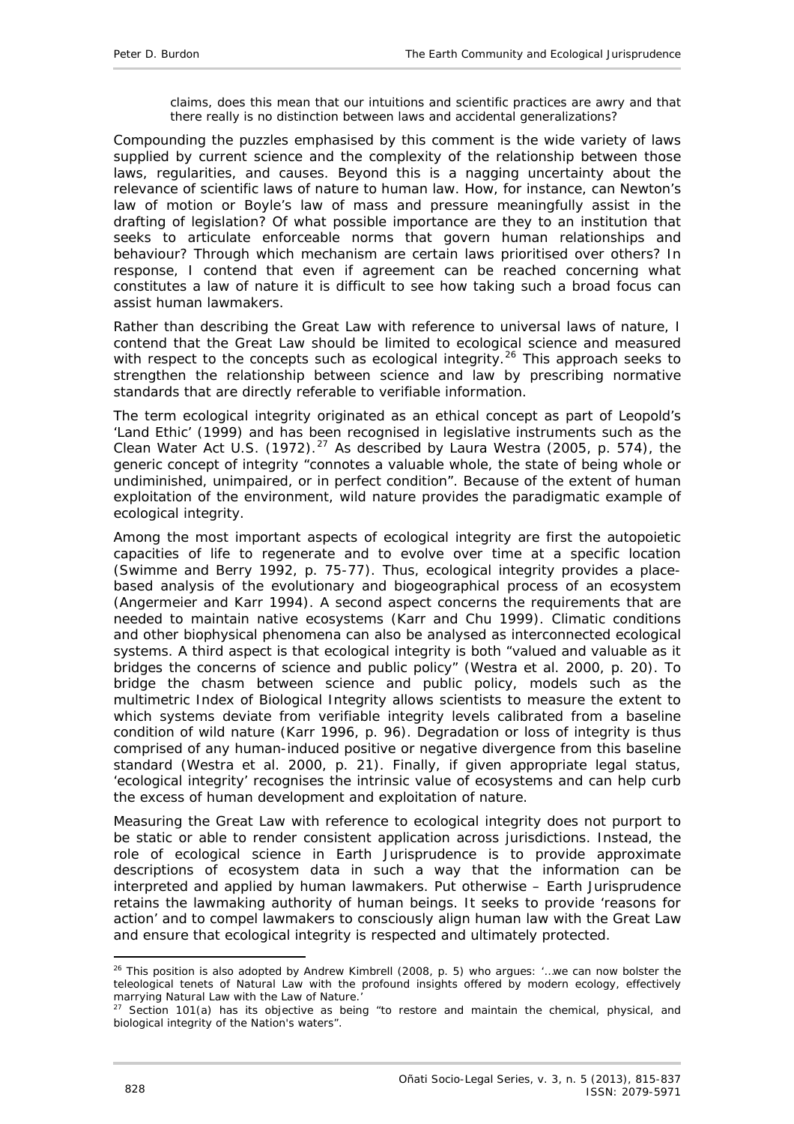claims, does this mean that our intuitions and scientific practices are awry and that there really is no distinction between laws and accidental generalizations?

Compounding the puzzles emphasised by this comment is the wide variety of laws supplied by current science and the complexity of the relationship between those laws, regularities, and causes. Beyond this is a nagging uncertainty about the relevance of scientific laws of nature to human law. How, for instance, can Newton's law of motion or Boyle's law of mass and pressure meaningfully assist in the drafting of legislation? Of what possible importance are they to an institution that seeks to articulate enforceable norms that govern human relationships and behaviour? Through which mechanism are certain laws prioritised over others? In response, I contend that even if agreement can be reached concerning what constitutes a law of nature it is difficult to see how taking such a broad focus can assist human lawmakers.

Rather than describing the Great Law with reference to universal laws of nature, I contend that the Great Law should be limited to ecological science and measured with respect to the concepts such as ecological integrity.<sup>[26](#page-13-0)</sup> This approach seeks to strengthen the relationship between science and law by prescribing normative standards that are directly referable to verifiable information.

The term ecological integrity originated as an ethical concept as part of Leopold's 'Land Ethic' (1999) and has been recognised in legislative instruments such as the *Clean Water Act U.S.* (1972).<sup>[27](#page-13-1)</sup> As described by Laura Westra (2005, p. 574), the generic concept of integrity "connotes a valuable whole, the state of being whole or undiminished, unimpaired, or in perfect condition". Because of the extent of human exploitation of the environment, wild nature provides the paradigmatic example of ecological integrity.

Among the most important aspects of ecological integrity are first the autopoietic capacities of life to regenerate and to evolve over time at a specific location (Swimme and Berry 1992, p. 75-77). Thus, ecological integrity provides a placebased analysis of the evolutionary and biogeographical process of an ecosystem (Angermeier and Karr 1994). A second aspect concerns the requirements that are needed to maintain native ecosystems (Karr and Chu 1999). Climatic conditions and other biophysical phenomena can also be analysed as interconnected ecological systems. A third aspect is that ecological integrity is both "valued and valuable as it bridges the concerns of science and public policy" (Westra *et al*. 2000, p. 20). To bridge the chasm between science and public policy, models such as the multimetric Index of Biological Integrity allows scientists to measure the extent to which systems deviate from verifiable integrity levels calibrated from a baseline condition of wild nature (Karr 1996, p. 96). Degradation or loss of integrity is thus comprised of any human-induced positive or negative divergence from this baseline standard (Westra *et al*. 2000, p. 21). Finally, if given appropriate legal status, 'ecological integrity' recognises the intrinsic value of ecosystems and can help curb the excess of human development and exploitation of nature.

Measuring the Great Law with reference to ecological integrity does not purport to be static or able to render consistent application across jurisdictions. Instead, the role of ecological science in Earth Jurisprudence is to provide approximate descriptions of ecosystem data in such a way that the information can be interpreted and applied by human lawmakers. Put otherwise – Earth Jurisprudence retains the lawmaking authority of human beings. It seeks to provide 'reasons for action' and to compel lawmakers to consciously align human law with the Great Law and ensure that ecological integrity is respected and ultimately protected.

<span id="page-13-0"></span><sup>&</sup>lt;sup>26</sup> This position is also adopted by Andrew Kimbrell (2008, p. 5) who argues: '...we can now bolster the teleological tenets of Natural Law with the profound insights offered by modern ecology, effectively marrying Natural Law with the Law of Nature.'

<span id="page-13-1"></span><sup>&</sup>lt;sup>27</sup> Section 101(a) has its objective as being "to restore and maintain the chemical, physical, and biological integrity of the Nation's waters".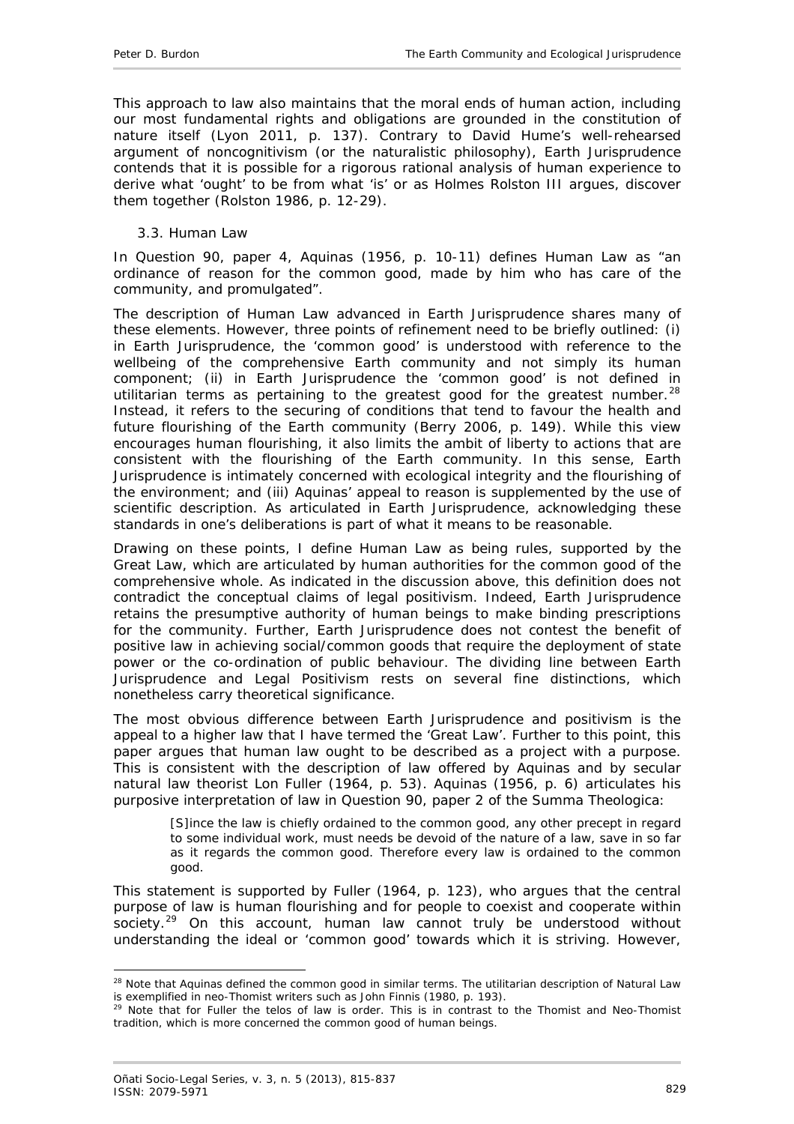<span id="page-14-0"></span>This approach to law also maintains that the moral ends of human action, including our most fundamental rights and obligations are grounded in the constitution of nature itself (Lyon 2011, p. 137). Contrary to David Hume's well-rehearsed argument of noncognitivism (or the naturalistic philosophy), Earth Jurisprudence contends that it is possible for a rigorous rational analysis of human experience to derive what 'ought' to be from what 'is' or as Holmes Rolston III argues, discover them together (Rolston 1986, p. 12-29).

# *3.3. Human Law*

In Question 90, paper 4, Aquinas (1956, p. 10-11) defines Human Law as "an ordinance of reason for the common good, made by him who has care of the community, and promulgated".

The description of Human Law advanced in Earth Jurisprudence shares many of these elements. However, three points of refinement need to be briefly outlined: (i) in Earth Jurisprudence, the 'common good' is understood with reference to the wellbeing of the comprehensive Earth community and not simply its human component; (ii) in Earth Jurisprudence the 'common good' is *not* defined in utilitarian terms as pertaining to the greatest good for the greatest number.<sup>[28](#page-14-1)</sup> Instead, it refers to the securing of conditions that tend to favour the health and future flourishing of the Earth community (Berry 2006, p. 149). While this view encourages human flourishing, it also limits the ambit of liberty to actions that are consistent with the flourishing of the Earth community. In this sense, Earth Jurisprudence is intimately concerned with ecological integrity and the flourishing of the environment; and (iii) Aquinas' appeal to reason is supplemented by the use of scientific description. As articulated in Earth Jurisprudence, acknowledging these standards in one's deliberations is part of what it means to be reasonable.

Drawing on these points, I define Human Law as being rules, supported by the Great Law, which are articulated by human authorities for the common good of the comprehensive whole. As indicated in the discussion above, this definition does not contradict the conceptual claims of legal positivism. Indeed, Earth Jurisprudence retains the presumptive authority of human beings to make binding prescriptions for the community. Further, Earth Jurisprudence does not contest the benefit of positive law in achieving social/common goods that require the deployment of state power or the co-ordination of public behaviour. The dividing line between Earth Jurisprudence and Legal Positivism rests on several fine distinctions, which nonetheless carry theoretical significance.

The most obvious difference between Earth Jurisprudence and positivism is the appeal to a higher law that I have termed the 'Great Law'. Further to this point, this paper argues that human law ought to be described as a project with a purpose. This is consistent with the description of law offered by Aquinas and by secular natural law theorist Lon Fuller (1964, p. 53). Aquinas (1956, p. 6) articulates his purposive interpretation of law in Question 90, paper 2 of the *Summa Theologica*:

[S]ince the law is chiefly ordained to the common good, any other precept in regard to some individual work, must needs be devoid of the nature of a law, save in so far as it regards the common good. Therefore every law is ordained to the common good.

This statement is supported by Fuller (1964, p. 123), who argues that the central purpose of law is human flourishing and for people to coexist and cooperate within society.<sup>[29](#page-14-2)</sup> On this account, human law cannot truly be understood without understanding the ideal or 'common good' towards which it is striving. However,

<span id="page-14-1"></span><sup>&</sup>lt;sup>28</sup> Note that Aquinas defined the common good in similar terms. The utilitarian description of Natural Law is exemplified in neo-Thomist writers such as John Finnis (1980, p. 193).

<span id="page-14-2"></span><sup>&</sup>lt;sup>29</sup> Note that for Fuller the telos of law is order. This is in contrast to the Thomist and Neo-Thomist tradition, which is more concerned the common good of human beings.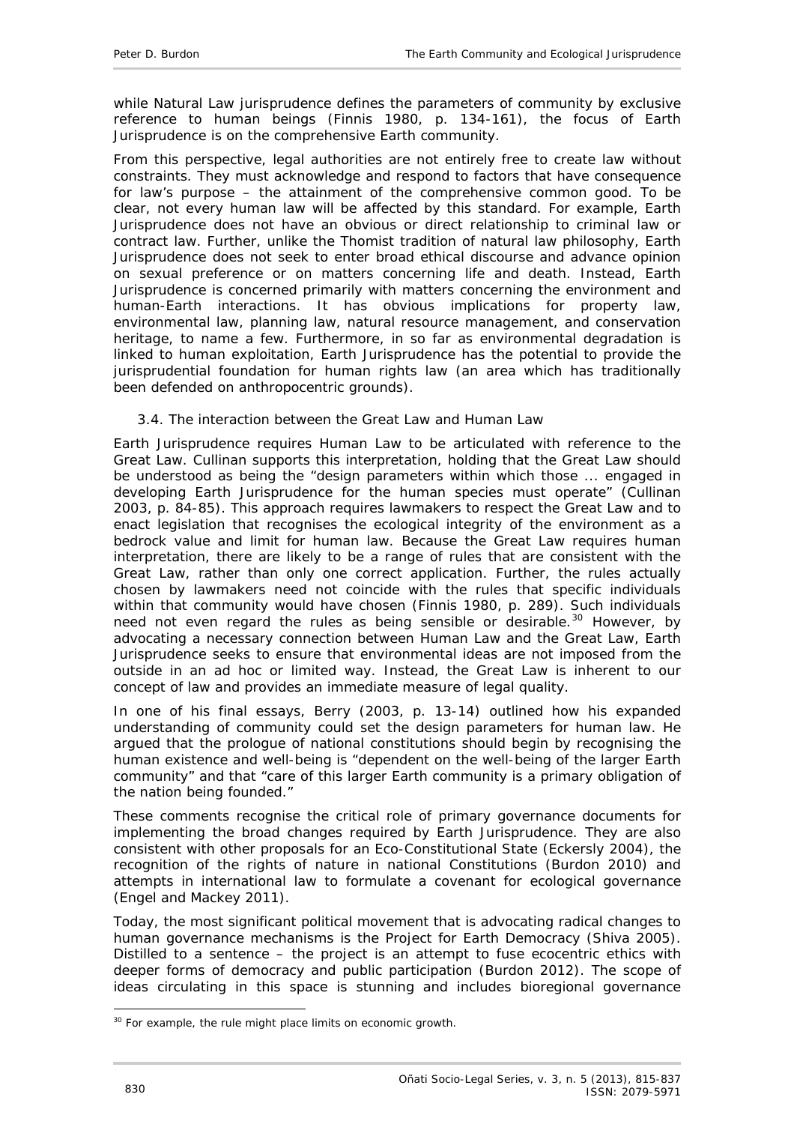<span id="page-15-0"></span>while Natural Law jurisprudence defines the parameters of community by exclusive reference to human beings (Finnis 1980, p. 134-161), the focus of Earth Jurisprudence is on the comprehensive Earth community.

From this perspective, legal authorities are not entirely free to create law without constraints. They must acknowledge and respond to factors that have consequence for law's purpose – the attainment of the comprehensive common good. To be clear, not every human law will be affected by this standard. For example, Earth Jurisprudence does not have an obvious or direct relationship to criminal law or contract law. Further, unlike the Thomist tradition of natural law philosophy, Earth Jurisprudence does not seek to enter broad ethical discourse and advance opinion on sexual preference or on matters concerning life and death. Instead, Earth Jurisprudence is concerned primarily with matters concerning the environment and human-Earth interactions. It has obvious implications for property law, environmental law, planning law, natural resource management, and conservation heritage, to name a few. Furthermore, in so far as environmental degradation is linked to human exploitation, Earth Jurisprudence has the potential to provide the jurisprudential foundation for human rights law (an area which has traditionally been defended on anthropocentric grounds).

# *3.4. The interaction between the Great Law and Human Law*

Earth Jurisprudence requires Human Law to be articulated with reference to the Great Law. Cullinan supports this interpretation, holding that the Great Law should be understood as being the "design parameters within which those ... engaged in developing Earth Jurisprudence for the human species must operate" (Cullinan 2003, p. 84-85). This approach requires lawmakers to respect the Great Law and to enact legislation that recognises the ecological integrity of the environment as a bedrock value and limit for human law. Because the Great Law requires human interpretation, there are likely to be a range of rules that are consistent with the Great Law, rather than only one correct application. Further, the rules actually chosen by lawmakers need not coincide with the rules that specific individuals within that community would have chosen (Finnis 1980, p. 289). Such individuals need not even regard the rules as being sensible or desirable.<sup>[30](#page-15-1)</sup> However, by advocating a necessary connection between Human Law and the Great Law, Earth Jurisprudence seeks to ensure that environmental ideas are not imposed from the outside in an ad hoc or limited way. Instead, the Great Law is inherent to our concept of law and provides an immediate measure of legal quality.

In one of his final essays, Berry (2003, p. 13-14) outlined how his expanded understanding of community could set the design parameters for human law. He argued that the prologue of national constitutions should begin by recognising the human existence and well-being is "dependent on the well-being of the larger Earth community" and that "care of this larger Earth community is a primary obligation of the nation being founded."

These comments recognise the critical role of primary governance documents for implementing the broad changes required by Earth Jurisprudence. They are also consistent with other proposals for an Eco-Constitutional State (Eckersly 2004), the recognition of the rights of nature in national Constitutions (Burdon 2010) and attempts in international law to formulate a covenant for ecological governance (Engel and Mackey 2011).

Today, the most significant political movement that is advocating radical changes to human governance mechanisms is the Project for Earth Democracy (Shiva 2005). Distilled to a sentence – the project is an attempt to fuse ecocentric ethics with deeper forms of democracy and public participation (Burdon 2012). The scope of ideas circulating in this space is stunning and includes bioregional governance

<span id="page-15-1"></span><sup>&</sup>lt;sup>30</sup> For example, the rule might place limits on economic growth.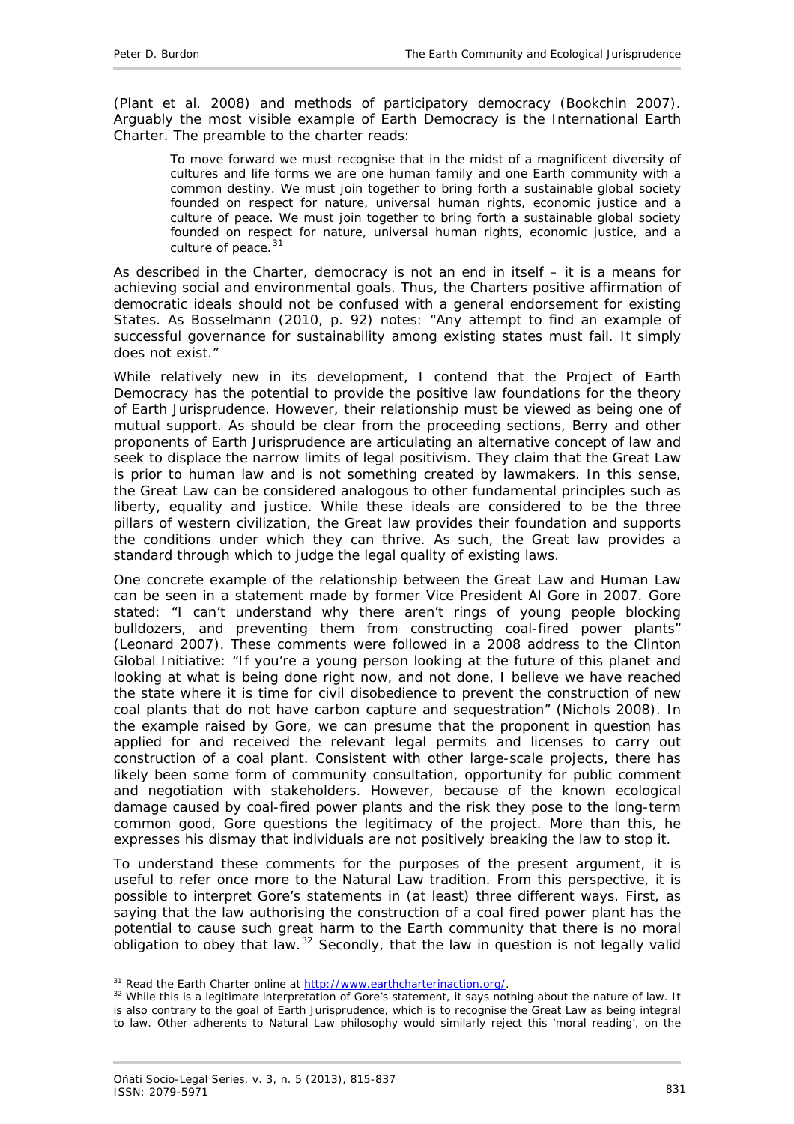(Plant *et al*. 2008) and methods of participatory democracy (Bookchin 2007). Arguably the most visible example of Earth Democracy is the International Earth Charter. The preamble to the charter reads:

To move forward we must recognise that in the midst of a magnificent diversity of cultures and life forms we are one human family and one Earth community with a common destiny. We must join together to bring forth a sustainable global society founded on respect for nature, universal human rights, economic justice and a culture of peace. We must join together to bring forth a sustainable global society founded on respect for nature, universal human rights, economic justice, and a culture of peace.<sup>[31](#page-16-0)</sup>

As described in the Charter, democracy is not an end in itself – it is a means for achieving social and environmental goals. Thus, the Charters positive affirmation of democratic ideals should not be confused with a general endorsement for existing States. As Bosselmann (2010, p. 92) notes: "Any attempt to find an example of successful governance for sustainability among existing states must fail. It simply does not exist."

While relatively new in its development, I contend that the Project of Earth Democracy has the potential to provide the positive law foundations for the theory of Earth Jurisprudence. However, their relationship must be viewed as being one of mutual support. As should be clear from the proceeding sections, Berry and other proponents of Earth Jurisprudence are articulating an alternative concept of law and seek to displace the narrow limits of legal positivism. They claim that the Great Law is prior to human law and is not something created by lawmakers. In this sense, the Great Law can be considered analogous to other fundamental principles such as liberty, equality and justice. While these ideals are considered to be the three pillars of western civilization, the Great law provides their foundation and supports the conditions under which they can thrive. As such, the Great law provides a standard through which to judge the legal quality of existing laws.

One concrete example of the relationship between the Great Law and Human Law can be seen in a statement made by former Vice President Al Gore in 2007. Gore stated: "I can't understand why there aren't rings of young people blocking bulldozers, and preventing them from constructing coal-fired power plants" (Leonard 2007). These comments were followed in a 2008 address to the Clinton Global Initiative: "If you're a young person looking at the future of this planet and looking at what is being done right now, and not done, I believe we have reached the state where it is time for civil disobedience to prevent the construction of new coal plants that do not have carbon capture and sequestration" (Nichols 2008). In the example raised by Gore, we can presume that the proponent in question has applied for and received the relevant legal permits and licenses to carry out construction of a coal plant. Consistent with other large-scale projects, there has likely been some form of community consultation, opportunity for public comment and negotiation with stakeholders. However, because of the known ecological damage caused by coal-fired power plants and the risk they pose to the long-term common good, Gore questions the legitimacy of the project. More than this, he expresses his dismay that individuals are not positively breaking the law to stop it.

To understand these comments for the purposes of the present argument, it is useful to refer once more to the Natural Law tradition. From this perspective, it is possible to interpret Gore's statements in (at least) three different ways. First, as saying that the law authorising the construction of a coal fired power plant has the potential to cause such great harm to the Earth community that there is no moral obligation to obey that law.  $32$  Secondly, that the law in question is not legally valid

<span id="page-16-1"></span><span id="page-16-0"></span><sup>&</sup>lt;sup>31</sup> Read the Earth Charter online at  $\frac{http://www.earthcharterination.org/}{http://www.earthcharterination.org/}.$ <br><sup>32</sup> While this is a legitimate interpretation of Gore's statement, it says nothing about the nature of law. It is also contrary to the goal of Earth Jurisprudence, which is to recognise the Great Law as being integral to law. Other adherents to Natural Law philosophy would similarly reject this 'moral reading', on the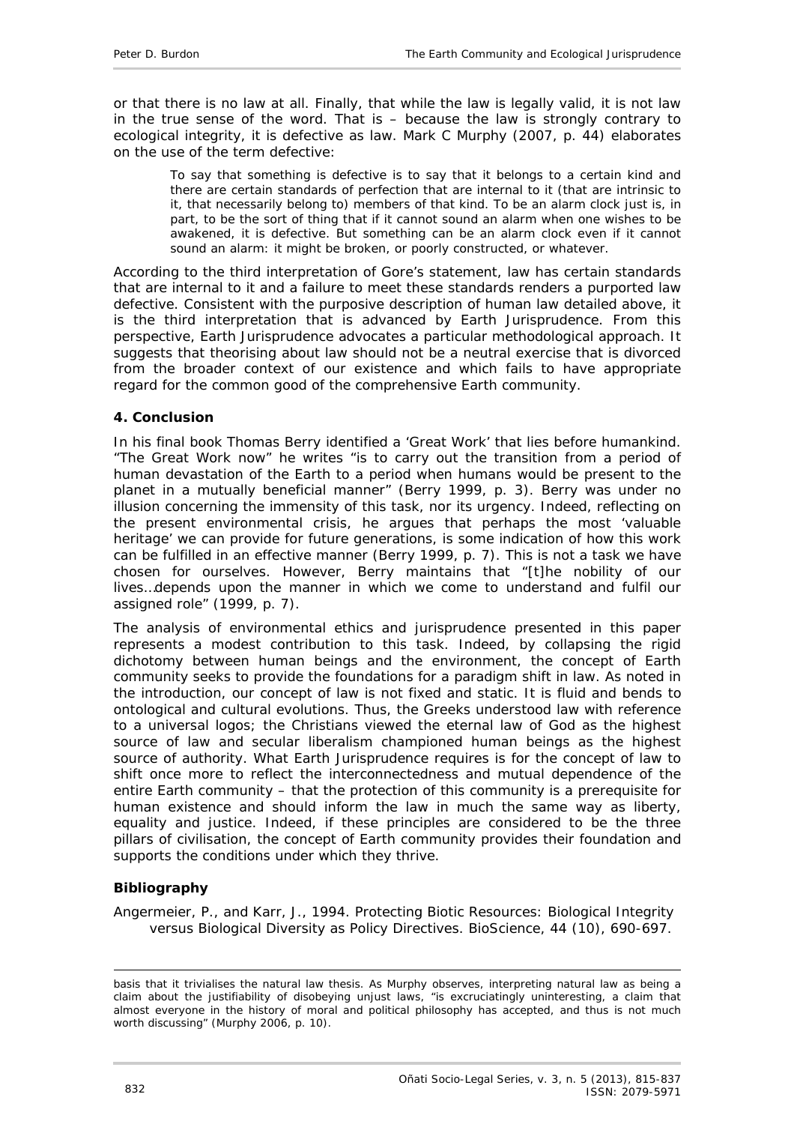<span id="page-17-0"></span>or that there is no law at all. Finally, that while the law is legally valid, it is not law in the true sense of the word. That is – because the law is strongly contrary to ecological integrity, it is defective as law. Mark C Murphy (2007, p. 44) elaborates on the use of the term defective:

To say that something is defective is to say that it belongs to a certain kind and there are certain standards of perfection that are internal to it (that are intrinsic to it, that necessarily belong to) members of that kind. To be an alarm clock just is, in part, to be the sort of thing that if it cannot sound an alarm when one wishes to be awakened, it is defective. But something can be an alarm clock even if it cannot sound an alarm: it might be broken, or poorly constructed, or whatever.

According to the third interpretation of Gore's statement, law has certain standards that are internal to it and a failure to meet these standards renders a purported law defective. Consistent with the purposive description of human law detailed above, it is the third interpretation that is advanced by Earth Jurisprudence. From this perspective, Earth Jurisprudence advocates a particular methodological approach. It suggests that theorising about law should not be a neutral exercise that is divorced from the broader context of our existence and which fails to have appropriate regard for the common good of the comprehensive Earth community.

#### **4. Conclusion**

In his final book Thomas Berry identified a 'Great Work' that lies before humankind. "The Great Work now" he writes "is to carry out the transition from a period of human devastation of the Earth to a period when humans would be present to the planet in a mutually beneficial manner" (Berry 1999, p. 3). Berry was under no illusion concerning the immensity of this task, nor its urgency. Indeed, reflecting on the present environmental crisis, he argues that perhaps the most 'valuable heritage' we can provide for future generations, is some indication of how this work can be fulfilled in an effective manner (Berry 1999, p. 7). This is not a task we have chosen for ourselves. However, Berry maintains that "[t]he nobility of our lives…depends upon the manner in which we come to understand and fulfil our assigned role" (1999, p. 7).

The analysis of environmental ethics and jurisprudence presented in this paper represents a modest contribution to this task. Indeed, by collapsing the rigid dichotomy between human beings and the environment, the concept of Earth community seeks to provide the foundations for a paradigm shift in law. As noted in the introduction, our concept of law is not fixed and static. It is fluid and bends to ontological and cultural evolutions. Thus, the Greeks understood law with reference to a universal logos; the Christians viewed the eternal law of God as the highest source of law and secular liberalism championed human beings as the highest source of authority. What Earth Jurisprudence requires is for the concept of law to shift once more to reflect the interconnectedness and mutual dependence of the entire Earth community – that the protection of this community is a prerequisite for human existence and should inform the law in much the same way as liberty, equality and justice. Indeed, if these principles are considered to be the three pillars of civilisation, the concept of Earth community provides their foundation and supports the conditions under which they thrive.

#### **Bibliography**

Angermeier, P., and Karr, J., 1994. Protecting Biotic Resources: Biological Integrity versus Biological Diversity as Policy Directives. *BioScience,* 44 (10), 690-697.

1

basis that it trivialises the natural law thesis. As Murphy observes, interpreting natural law as being a claim about the justifiability of disobeying unjust laws, "is excruciatingly uninteresting, a claim that almost everyone in the history of moral and political philosophy has accepted, and thus is not much worth discussing" (Murphy 2006, p. 10).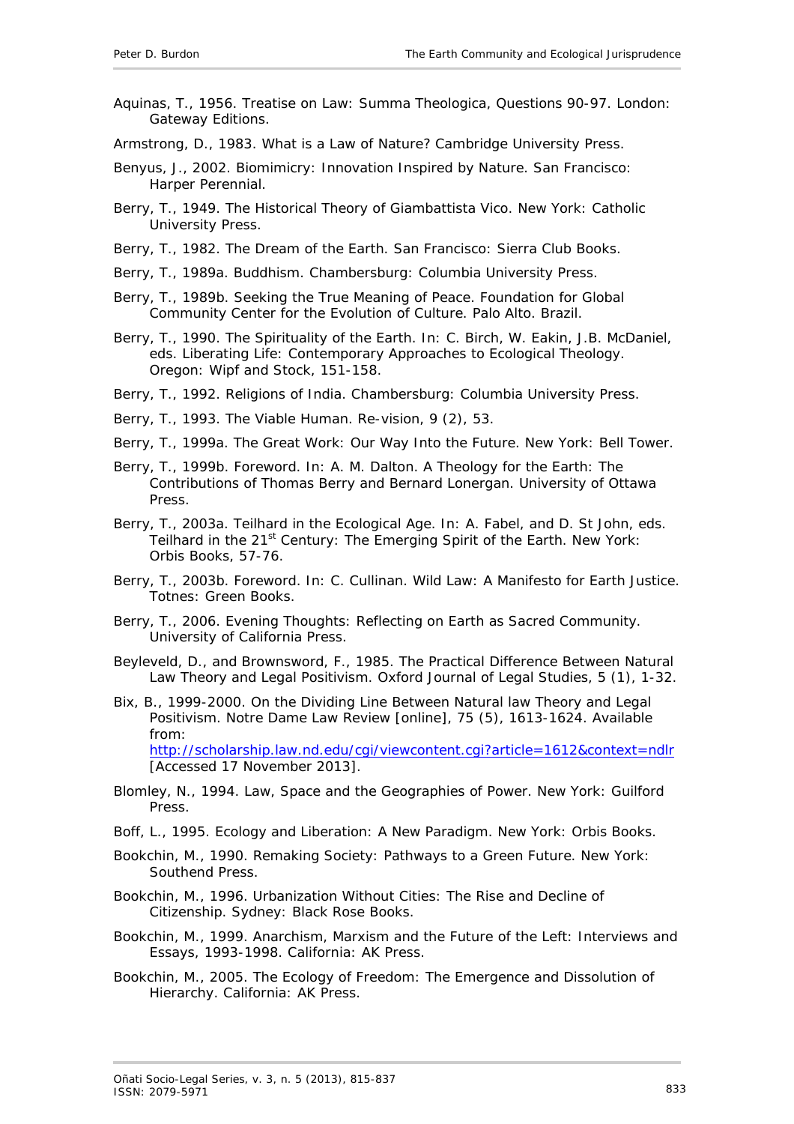- Aquinas, T., 1956. *Treatise on Law: Summa Theologica, Questions 90-97*. London: Gateway Editions.
- Armstrong, D., 1983. *What is a Law of Nature?* Cambridge University Press.
- Benyus, J., 2002. *Biomimicry: Innovation Inspired by Nature*. San Francisco: Harper Perennial.
- Berry, T., 1949. *The Historical Theory of Giambattista Vico.* New York: Catholic University Press.
- Berry, T., 1982. *The Dream of the Earth*. San Francisco: Sierra Club Books.
- Berry, T., 1989a. *Buddhism*. Chambersburg: Columbia University Press.
- Berry, T., 1989b. Seeking the True Meaning of Peace. *Foundation for Global Community Center for the Evolution of Culture*. Palo Alto. Brazil.
- Berry, T., 1990. The Spirituality of the Earth. *In*: C. Birch, W. Eakin, J.B. McDaniel, eds. *Liberating Life: Contemporary Approaches to Ecological Theology*. Oregon: Wipf and Stock, 151-158.
- Berry, T., 1992. *Religions of India*. Chambersburg: Columbia University Press.
- Berry, T., 1993. The Viable Human. *Re-vision,* 9 (2), 53.
- Berry, T., 1999a. *The Great Work: Our Way Into the Future.* New York: Bell Tower.
- Berry, T., 1999b. Foreword. *In*: A. M. Dalton. *A Theology for the Earth*: *The Contributions of Thomas Berry and Bernard Lonergan*. University of Ottawa Press.
- Berry, T., 2003a. Teilhard in the Ecological Age. *In*: A. Fabel, and D. St John, eds. *Teilhard in the 21st Century: The Emerging Spirit of the Earth*. New York: Orbis Books, 57-76.
- Berry, T., 2003b. Foreword. *In*: C. Cullinan. *Wild Law: A Manifesto for Earth Justice*. Totnes: Green Books.
- Berry, T., 2006. *Evening Thoughts: Reflecting on Earth as Sacred Community*. University of California Press.
- Beyleveld, D., and Brownsword, F., 1985. The Practical Difference Between Natural Law Theory and Legal Positivism. *Oxford Journal of Legal Studies*, 5 (1), 1-32.
- Bix, B., 1999-2000. On the Dividing Line Between Natural law Theory and Legal Positivism. *Notre Dame Law Review* [online]*,* 75 (5), 1613-1624. Available from: <http://scholarship.law.nd.edu/cgi/viewcontent.cgi?article=1612&context=ndlr>
- [Accessed 17 November 2013]. Blomley, N., 1994. *Law, Space and the Geographies of Power*. New York: Guilford Press.
- Boff, L., 1995. *Ecology and Liberation: A New Paradigm*. New York: Orbis Books.
- Bookchin, M., 1990. *Remaking Society: Pathways to a Green Future*. New York: Southend Press.
- Bookchin, M., 1996. *Urbanization Without Cities: The Rise and Decline of Citizenship*. Sydney: Black Rose Books.
- Bookchin, M., 1999. *Anarchism, Marxism and the Future of the Left: Interviews and Essays, 1993-1998*. California: AK Press.
- Bookchin, M., 2005. *The Ecology of Freedom: The Emergence and Dissolution of Hierarchy*. California: AK Press.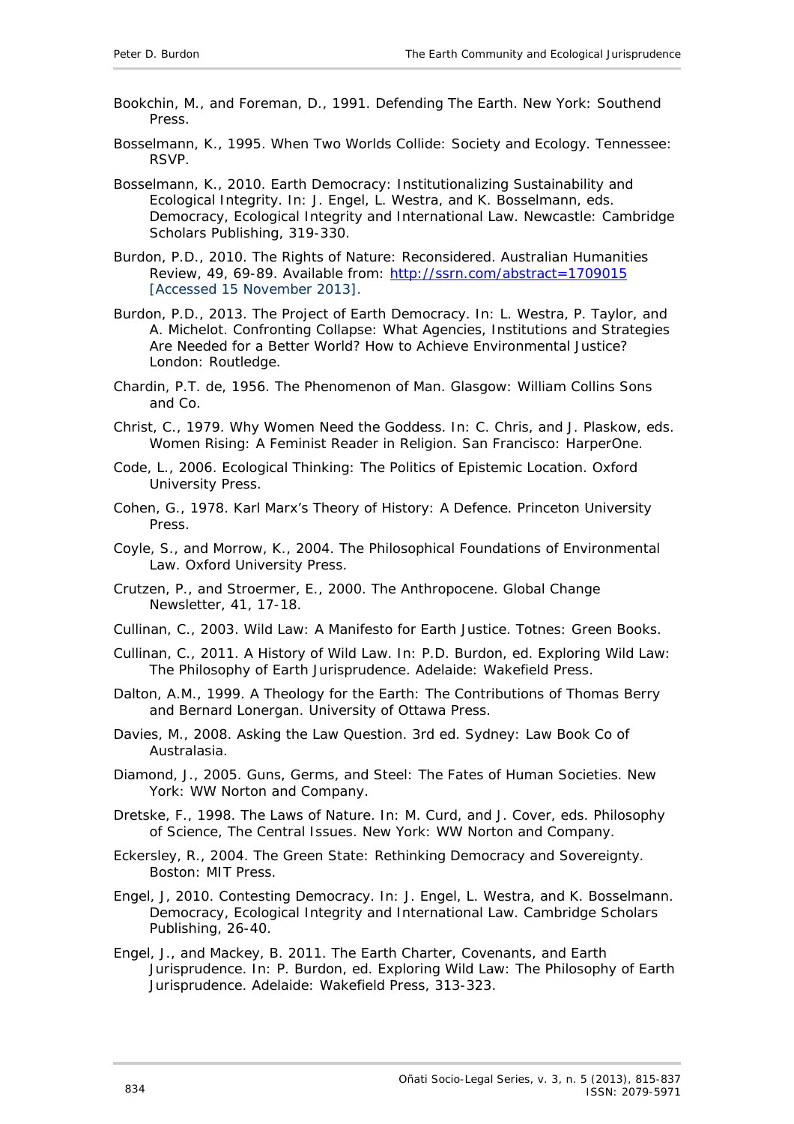- Bookchin, M., and Foreman, D., 1991. *Defending The Earth*. New York: Southend Press.
- Bosselmann, K., 1995. *When Two Worlds Collide: Society and Ecology*. Tennessee: RSVP.
- Bosselmann, K., 2010. Earth Democracy: Institutionalizing Sustainability and Ecological Integrity. *In*: J. Engel, L. Westra, and K. Bosselmann, eds. *Democracy, Ecological Integrity and International Law*. Newcastle: Cambridge Scholars Publishing, 319-330.
- Burdon, P.D., 2010. The Rights of Nature: Reconsidered. *Australian Humanities Review*, 49, 69-89. Available from:<http://ssrn.com/abstract=1709015> [Accessed 15 November 2013].
- Burdon, P.D., 2013. The Project of Earth Democracy. *In*: L. Westra, P. Taylor, and A. Michelot. *Confronting Collapse: What Agencies, Institutions and Strategies Are Needed for a Better World? How to Achieve Environmental Justice?* London: Routledge.
- Chardin, P.T. de, 1956. *The Phenomenon of Man*. Glasgow: William Collins Sons and Co.
- Christ, C., 1979. Why Women Need the Goddess. *In*: C. Chris, and J. Plaskow, eds*. Women Rising: A Feminist Reader in Religion*. San Francisco: HarperOne.
- Code, L., 2006. *Ecological Thinking: The Politics of Epistemic Location*. Oxford University Press.
- Cohen, G., 1978. *Karl Marx's Theory of History: A Defence*. Princeton University Press.
- Coyle, S., and Morrow, K., 2004. *The Philosophical Foundations of Environmental Law*. Oxford University Press.
- Crutzen, P., and Stroermer, E., 2000. The Anthropocene. *Global Change Newsletter*, 41, 17-18.
- Cullinan, C., 2003. *Wild Law: A Manifesto for Earth Justice*. Totnes: Green Books.
- Cullinan, C., 2011. A History of Wild Law. *In*: P.D. Burdon, ed. *Exploring Wild Law: The Philosophy of Earth Jurisprudence*. Adelaide: Wakefield Press.
- Dalton, A.M., 1999. *A Theology for the Earth: The Contributions of Thomas Berry and Bernard Lonergan*. University of Ottawa Press.
- Davies, M., 2008. *Asking the Law Question*. 3rd ed. Sydney: Law Book Co of Australasia.
- Diamond, J., 2005. *Guns, Germs, and Steel: The Fates of Human Societies*. New York: WW Norton and Company.
- Dretske, F., 1998. The Laws of Nature. *In*: M. Curd, and J. Cover, eds. *Philosophy of Science, The Central Issue*s. New York: WW Norton and Company.
- Eckersley, R., 2004. *The Green State: Rethinking Democracy and Sovereignty*. Boston: MIT Press.
- Engel, J, 2010. Contesting Democracy. *In*: J. Engel, L. Westra, and K. Bosselmann. *Democracy, Ecological Integrity and International Law*. Cambridge Scholars Publishing, 26-40.
- Engel, J., and Mackey, B. 2011. The Earth Charter, Covenants, and Earth Jurisprudence. *In*: P. Burdon, ed. *Exploring Wild Law: The Philosophy of Earth Jurisprudence*. Adelaide: Wakefield Press, 313-323.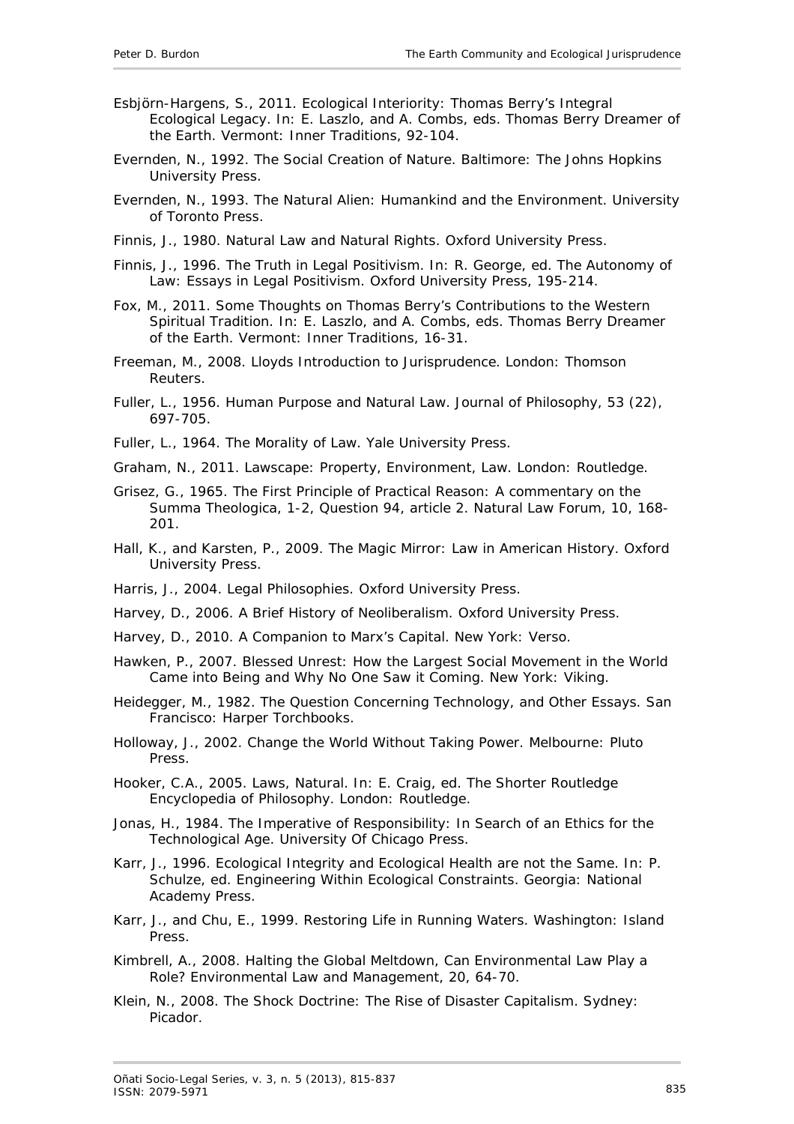- Esbjörn-Hargens, S., 2011. Ecological Interiority: Thomas Berry's Integral Ecological Legacy. *In*: E. Laszlo, and A. Combs, eds. *Thomas Berry Dreamer of the Earth*. Vermont: Inner Traditions, 92-104.
- Evernden, N., 1992. *The Social Creation of Nature*. Baltimore: The Johns Hopkins University Press.
- Evernden, N., 1993. *The Natural Alien: Humankind and the Environment*. University of Toronto Press.
- Finnis, J., 1980. *Natural Law and Natural Rights*. Oxford University Press.
- Finnis, J., 1996. The Truth in Legal Positivism. *In*: R. George, ed. *The Autonomy of Law: Essays in Legal Positivism*. Oxford University Press, 195-214.
- Fox, M., 2011. Some Thoughts on Thomas Berry's Contributions to the Western Spiritual Tradition. *In*: E. Laszlo, and A. Combs, eds. *Thomas Berry Dreamer of the Earth*. Vermont: Inner Traditions, 16-31.
- Freeman, M., 2008*. Lloyds Introduction to Jurisprudence*. London: Thomson Reuters.
- Fuller, L., 1956. Human Purpose and Natural Law. *Journal of Philosophy*, 53 (22), 697-705.
- Fuller, L., 1964. *The Morality of Law*. Yale University Press.
- Graham, N., 2011. *Lawscape: Property, Environment, Law*. London: Routledge.
- Grisez, G., 1965. The First Principle of Practical Reason: A commentary on the Summa Theologica, 1-2, Question 94, article 2. *Natural Law Forum*, 10, 168- 201.
- Hall, K., and Karsten, P., 2009. *The Magic Mirror: Law in American History*. Oxford University Press.
- Harris, J., 2004. *Legal Philosophies*. Oxford University Press.
- Harvey, D., 2006. *A Brief History of Neoliberalism*. Oxford University Press.
- Harvey, D., 2010. *A Companion to Marx's Capital*. New York: Verso.
- Hawken, P., 2007. *Blessed Unrest: How the Largest Social Movement in the World Came into Being and Why No One Saw it Coming*. New York: Viking.
- Heidegger, M., 1982. *The Question Concerning Technology, and Other Essays*. San Francisco: Harper Torchbooks.
- Holloway, J., 2002. *Change the World Without Taking Power*. Melbourne: Pluto Press.
- Hooker, C.A., 2005. Laws, Natural. *In*: E. Craig, ed. *The Shorter Routledge Encyclopedia of Philosophy*. London: Routledge.
- Jonas, H., 1984. *The Imperative of Responsibility: In Search of an Ethics for the Technological Age*. University Of Chicago Press.
- Karr, J., 1996. Ecological Integrity and Ecological Health are not the Same. *In*: P. Schulze, ed. *Engineering Within Ecological Constraints*. Georgia: National Academy Press.
- Karr, J., and Chu, E., 1999. *Restoring Life in Running Waters*. Washington: Island Press.
- Kimbrell, A., 2008. Halting the Global Meltdown, Can Environmental Law Play a Role? *Environmental Law and Management*, 20, 64-70.
- Klein, N., 2008. *The Shock Doctrine: The Rise of Disaster Capitalism*. Sydney: Picador.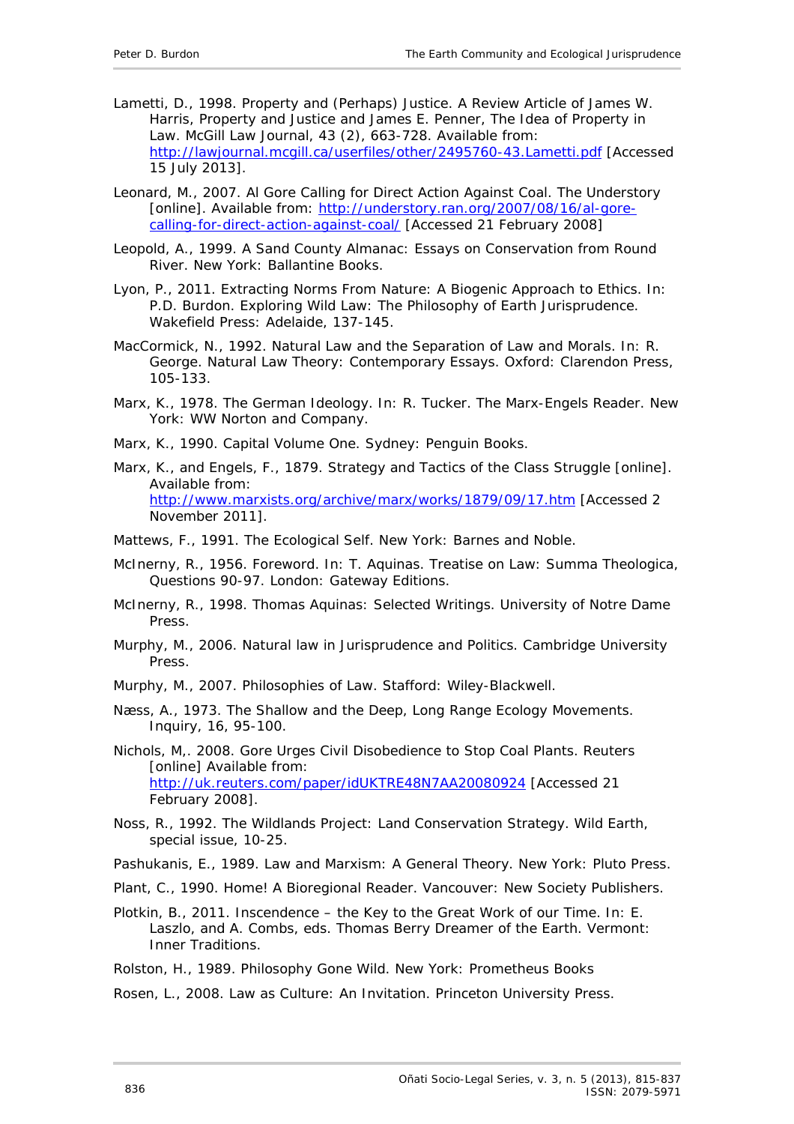- Lametti, D., 1998. Property and (Perhaps) Justice. A Review Article of James W. Harris, Property and Justice and James E. Penner, The Idea of Property in Law. *McGill Law Journal*, 43 (2), 663-728. Available from: <http://lawjournal.mcgill.ca/userfiles/other/2495760-43.Lametti.pdf> [Accessed 15 July 2013].
- Leonard, M., 2007. Al Gore Calling for Direct Action Against Coal. *The Understory* [online]. Available from: [http://understory.ran.org/2007/08/16/al-gore](http://understory.ran.org/2007/08/16/al-gore-calling-for-direct-action-against-coal/)[calling-for-direct-action-against-coal/](http://understory.ran.org/2007/08/16/al-gore-calling-for-direct-action-against-coal/) [Accessed 21 February 2008]
- Leopold, A., 1999. *A Sand County Almanac: Essays on Conservation from Round River*. New York: Ballantine Books.
- Lyon, P., 2011. Extracting Norms From Nature: A Biogenic Approach to Ethics. *In:* P.D. Burdon. *Exploring Wild Law: The Philosophy of Earth Jurisprudence*. Wakefield Press: Adelaide, 137-145.
- MacCormick, N., 1992. Natural Law and the Separation of Law and Morals. *In*: R. George. *Natural Law Theory: Contemporary Essays*. Oxford: Clarendon Press, 105-133.
- Marx, K., 1978. The German Ideology. *In:* R. Tucker. *The Marx-Engels Reader*. New York: WW Norton and Company.
- Marx, K., 1990. *Capital Volume One*. Sydney: Penguin Books.
- Marx, K., and Engels, F., 1879. *Strategy and Tactics of the Class Struggle* [online]. Available from: <http://www.marxists.org/archive/marx/works/1879/09/17.htm> [Accessed 2 November 2011].
- Mattews, F., 1991. *The Ecological Self*. New York: Barnes and Noble.
- McInerny, R., 1956. Foreword. *In*: T. Aquinas. *Treatise on Law: Summa Theologica, Questions 90-97*. London: Gateway Editions.
- McInerny, R., 1998. *Thomas Aquinas: Selected Writings*. University of Notre Dame Press.
- Murphy, M., 2006. *Natural law in Jurisprudence and Politics*. Cambridge University Press.
- Murphy, M., 2007. *Philosophies of Law*. Stafford: Wiley-Blackwell.
- Næss, A., 1973. The Shallow and the Deep, Long Range Ecology Movements. *Inquiry*, 16, 95-100.
- Nichols, M,. 2008. Gore Urges Civil Disobedience to Stop Coal Plants. *Reuters* [online] Available from: [http://uk.reuters.com/paper/idUKTRE48N7AA20080924](http://uk.reuters.com/article/idUKTRE48N7AA20080924) [Accessed 21 February 2008].
- Noss, R., 1992. The Wildlands Project: Land Conservation Strategy. *Wild Earth*, special issue, 10-25.

Pashukanis, E., 1989. *Law and Marxism: A General Theory*. New York: Pluto Press.

- Plant, C., 1990. *Home! A Bioregional Reader*. Vancouver: New Society Publishers.
- Plotkin, B., 2011. Inscendence the Key to the Great Work of our Time. *In*: E. Laszlo, and A. Combs, eds. *Thomas Berry Dreamer of the Earth*. Vermont: Inner Traditions.
- Rolston, H., 1989. *Philosophy Gone Wild*. New York: Prometheus Books
- Rosen, L., 2008*. Law as Culture: An Invitation*. Princeton University Press.